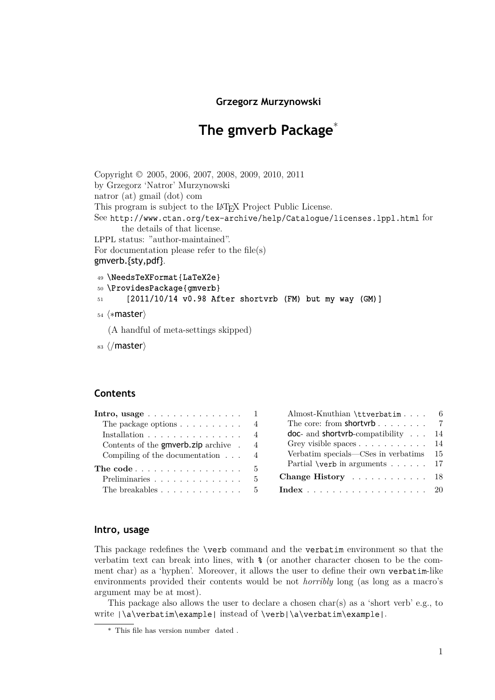# **The gmverb Package**\*

<span id="page-0-0"></span>Copyright © 2005, 2006, 2007, 2008, 2009, 2010, 2011 by Grzegorz 'Natror' Murzynowski natror (at) gmail (dot) com This program is subject to the LAT<sub>EX</sub> Project Public License. See http://www.ctan.org/tex-archive/help/Catalogue/licenses.lppl.html for the details of that license. LPPL status: "author-maintained". For documentation please refer to the file(s) gm[verb.{sty,pdf}](http://www.ctan.org/tex-archive/help/Catalogue/licenses.lppl.html).

```
49 \NeedsTeXFormat{LaTeX2e}
```

```
50 \ProvidesPackage{gmverb}
```
<sup>51</sup> [2011/10/14 v0.98 After shortvrb (FM) but my way (GM)]

<sup>54</sup> *⟨∗*master*⟩*

(A handful of meta-settings skipped)

<sup>83</sup> *⟨*/master*⟩*

# **Contents**

| Intro, usage $\ldots \ldots \ldots \ldots \ldots 1$ |                                                           |                                                                                                                                                                                                                                                                                                                                          |
|-----------------------------------------------------|-----------------------------------------------------------|------------------------------------------------------------------------------------------------------------------------------------------------------------------------------------------------------------------------------------------------------------------------------------------------------------------------------------------|
| The package options $\ldots \ldots \ldots$ 4        |                                                           |                                                                                                                                                                                                                                                                                                                                          |
| Installation $\ldots \ldots \ldots \ldots \ldots$   |                                                           |                                                                                                                                                                                                                                                                                                                                          |
| Contents of the <b>gmverb.zip</b> archive $\cdot$ 4 |                                                           |                                                                                                                                                                                                                                                                                                                                          |
|                                                     |                                                           |                                                                                                                                                                                                                                                                                                                                          |
|                                                     |                                                           |                                                                                                                                                                                                                                                                                                                                          |
| $\overline{5}$                                      |                                                           |                                                                                                                                                                                                                                                                                                                                          |
|                                                     |                                                           |                                                                                                                                                                                                                                                                                                                                          |
|                                                     | Compiling of the documentation $\ldots$ 4<br>The code $5$ | Almost-Knuthian $\text{tiverb}$ atim 6<br>The core: from shortyrb $7$<br><b>doc</b> - and <b>shortvrb</b> -compatibility $\ldots$ 14<br>Grey visible spaces $\ldots \ldots \ldots \ldots 14$<br>Verbatim specials—CSes in verbatims 15<br>Partial <b>\verb</b> in arguments $\dots$ 17<br>Change History 18<br>The breakables 5 Index 20 |

# **I[ntro, usage](#page-4-0)**

This package redefines the \verb command and the verbatim environment so that the verbatim text can break into lines, with % (or another character chosen to be the comment char) as a 'hyphen'. Moreover, it allows the user to define their own verbatim-like environments provided their contents would be not *horribly* long (as long as a macro's argument may be at most).

This package also allows the user to declare a chosen char(s) as a 'short verb' e.g., to write  $|\a\varepsilon|$  and  $\alpha$  is instead of  $\verb|verb| \a\verb|verbatin\example|$ .

<sup>\*</sup> This file has version number dated .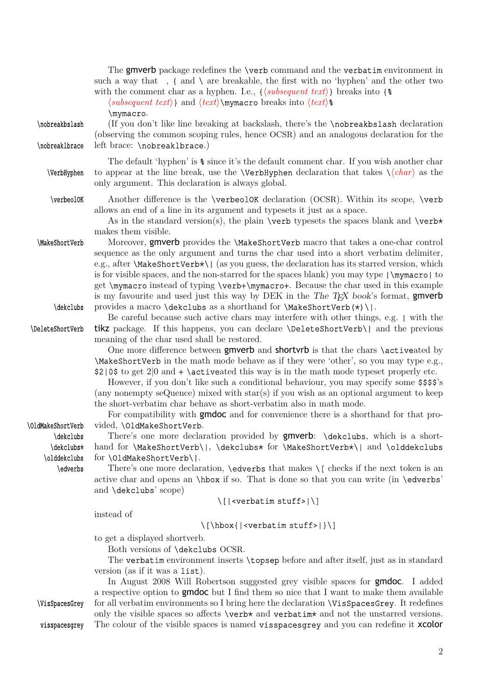<span id="page-1-0"></span>

|                                | The gmverb package redefines the <b>\verb</b> command and the <b>verbatim</b> environment in<br>such a way that $\,$ , { and \ are breakable, the first with no 'hyphen' and the other two<br>with the comment char as a hyphen. I.e., $\{\langle subsequent \ text \rangle\}$ breaks into $\{\$<br>$\langle subset, \langle \mathbf{r} \rangle \rangle$ and $\langle \mathbf{r} \rangle$ and $\langle \mathbf{r} \rangle$ hymacro breaks into $\langle \mathbf{r} \rangle$<br>\mymacro.                                                                                                                                |
|--------------------------------|-------------------------------------------------------------------------------------------------------------------------------------------------------------------------------------------------------------------------------------------------------------------------------------------------------------------------------------------------------------------------------------------------------------------------------------------------------------------------------------------------------------------------------------------------------------------------------------------------------------------------|
| \nobreakbslash                 | (If you don't like line breaking at backslash, there's the <b>\nobreakbslash</b> declaration<br>(observing the common scoping rules, hence OCSR) and an analogous declaration for the                                                                                                                                                                                                                                                                                                                                                                                                                                   |
| \nobreaklbrace                 | left brace: \nobreaklbrace.)                                                                                                                                                                                                                                                                                                                                                                                                                                                                                                                                                                                            |
| \VerbHyphen                    | The default 'hyphen' is $\frac{1}{8}$ since it's the default comment char. If you wish another char<br>to appear at the line break, use the <b>\VerbHyphen</b> declaration that takes $\langle \langle char \rangle$ as the<br>only argument. This declaration is always global.                                                                                                                                                                                                                                                                                                                                        |
| \verbeol0K                     | Another difference is the <b>\verbeolOK</b> declaration (OCSR). Within its scope, <b>\verb</b>                                                                                                                                                                                                                                                                                                                                                                                                                                                                                                                          |
|                                | allows an end of a line in its argument and typesets it just as a space.<br>As in the standard version(s), the plain <b>\verb</b> typesets the spaces blank and <b>\verb</b> *<br>makes them visible.                                                                                                                                                                                                                                                                                                                                                                                                                   |
| \MakeShortVerb                 | Moreover, gmverb provides the <i>MakeShortVerb</i> macro that takes a one-char control<br>sequence as the only argument and turns the char used into a short verbatim delimiter,<br>e.g., after <b>\MakeShortVerb*\</b>   (as you guess, the declaration has its starred version, which<br>is for visible spaces, and the non-starred for the spaces blank) you may type $\langle \text{mymacc} \rangle$ to<br>get \mymacro instead of typing \verb+\mymacro+. Because the char used in this example<br>is my favourite and used just this way by DEK in the The T <sub>F</sub> X book's format, gmverb                 |
| \dekclubs                      | provides a macro $\delta$ singulary as a shorthand for $\MakeShortVerb(*)$ .<br>Be careful because such active chars may interfere with other things, e.g.   with the                                                                                                                                                                                                                                                                                                                                                                                                                                                   |
| \DeleteShortVerb               | tikz package. If this happens, you can declare <i>DeleteShortVerb</i>   and the previous<br>meaning of the char used shall be restored.<br>One more difference between gmverb and shortvrb is that the chars \activeated by<br><b>\MakeShortVerb</b> in the math mode behave as if they were 'other', so you may type e.g.,<br>$$2 0$$ to get $2 0$ and $+ \text{activated this way}$ is in the math mode typeset properly etc.<br>However, if you don't like such a conditional behaviour, you may specify some \$\$\$\$'s<br>(any nonempty seQuence) mixed with $star(s)$ if you wish as an optional argument to keep |
|                                | the short-verbatim char behave as short-verbatim also in math mode.<br>For compatibility with <b>gmdoc</b> and for convenience there is a shorthand for that pro-                                                                                                                                                                                                                                                                                                                                                                                                                                                       |
| \OldMakeShortVerb<br>\dekclubs | vided, \OldMakeShortVerb.<br>There's one more declaration provided by <b>gmverb</b> : <b>\dekclubs</b> , which is a short-                                                                                                                                                                                                                                                                                                                                                                                                                                                                                              |
| \dekclubs*<br>\olddekclubs     | hand for \MakeShortVerb\ , \dekclubs* for \MakeShortVerb*\  and \olddekclubs<br>for \OldMakeShortVerb\ .                                                                                                                                                                                                                                                                                                                                                                                                                                                                                                                |
| \edverbs                       | There's one more declaration, $\ed{e}$ that makes $\lfloor$ checks if the next token is an<br>active char and opens an <b>\hbox</b> if so. That is done so that you can write (in <b>\edverbs'</b><br>and <b>\dekclubs</b> ' scope)                                                                                                                                                                                                                                                                                                                                                                                     |
|                                | $\setminus$ [  <verbatim stuff=""> <math>\setminus</math>]</verbatim>                                                                                                                                                                                                                                                                                                                                                                                                                                                                                                                                                   |
|                                | instead of                                                                                                                                                                                                                                                                                                                                                                                                                                                                                                                                                                                                              |
|                                | $\[\{\hbox{\sf \&box}\; \} \times \{\ \preceq\; \preceq\; \preceq \; \preceq \; \preceq \; \preceq \; \preceq \; \preceq \; \preceq \; \preceq \; \preceq \; \preceq \; \preceq \; \preceq \; \preceq \; \preceq \; \preceq \; \preceq \; \preceq \; \preceq \; \preceq \; \preceq \; \preceq \; \preceq \; \preceq \; \preceq \; \preceq \; \preceq \; \preceq \; \preceq \; \preceq \; \preceq \; \preceq \; \preceq$                                                                                                                                                                                                 |
|                                | to get a displayed shortverb.<br>Both versions of <b>\dekclubs</b> OCSR.<br>The verbatim environment inserts \topsep before and after itself, just as in standard                                                                                                                                                                                                                                                                                                                                                                                                                                                       |
|                                | version (as if it was a list).<br>In August 2008 Will Robertson suggested grey visible spaces for <b>gmdoc</b> . I added<br>a respective option to <b>gmdoc</b> but I find them so nice that I want to make them available                                                                                                                                                                                                                                                                                                                                                                                              |
| \VisSpacesGrey                 | for all verbatim environments so I bring here the declaration <b>\VisSpacesGrey</b> . It redefines<br>only the visible spaces so affects $\text{sub}$ and $\text{sub}$ and $\text{sub}$ and not the unstarred versions.                                                                                                                                                                                                                                                                                                                                                                                                 |
| visspacesgrey                  | The colour of the visible spaces is named visspacesgrey and you can redefine it xcolor                                                                                                                                                                                                                                                                                                                                                                                                                                                                                                                                  |

2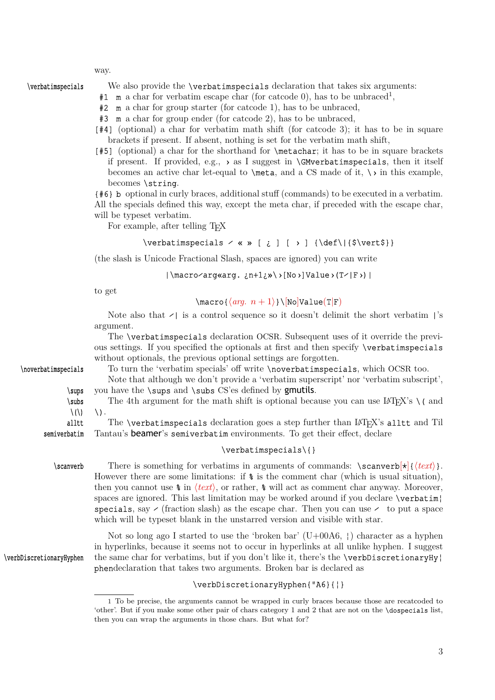<span id="page-2-0"></span>\verbatimspecials We also provide the \verbatimspecials declaration that takes six arguments:

- $#1$  m a char for verbatim escape char (for catcode 0), has to be unbraced<sup>1</sup>,
- #2 m a char for group starter (for catcode 1), has to be unbraced,
- #3 m a char for group ender (for catcode 2), has to be unbraced,
- [#4] (optional) a char for verbatim math shift (for catcode 3); it has to be in square brackets if present. If absent, nothing is set for the verbatim math shift,
- [#5] (optional) a char for the shorthand for \metachar; it has to be in square brackets if present. If provided, e.g.,  $\rightarrow$  as I suggest in **\GMverbatimspecials**, then it itself becomes an active char let-equal to  $\mathcal{L}$ , and a CS made of it,  $\mathcal{L}$  in this example, becomes \string.

{#6} b optional in curly braces, additional stuff (commands) to be executed in a verbatim. All the specials defined this way, except the meta char, if preceded with the escape char, will be typeset verbatim.

For example, after telling T<sub>EX</sub>

# \verbatimspecials  $\angle$  « » [ ¿ ] [ > ] {\def\|{\$\vert\$}}

(the slash is Unicode Fractional Slash, spaces are ignored) you can write

# |\macro⁄arg«arg. ¿n+1¿»\›[No›]Value›(T⁄|F›)|

to get

### \macro{*⟨arg. n* + 1*⟩*}\[No]Value(T*|*F)

Note also that  $\ell$  is a control sequence so it doesn't delimit the short verbatim |'s argument.

|                             | The <b>\verbatimspecials</b> declaration OCSR. Subsequent uses of it override the previ-<br>ous settings. If you specified the optionals at first and then specify <b>\verbatimspecials</b><br>without optionals, the previous optional settings are forgotten.                                                                                                                                                                                                                                                                                                                                                                                      |
|-----------------------------|------------------------------------------------------------------------------------------------------------------------------------------------------------------------------------------------------------------------------------------------------------------------------------------------------------------------------------------------------------------------------------------------------------------------------------------------------------------------------------------------------------------------------------------------------------------------------------------------------------------------------------------------------|
| \noverbatimspecials         | To turn the 'verbatim specials' off write \noverbatimspecials, which OCSR too.                                                                                                                                                                                                                                                                                                                                                                                                                                                                                                                                                                       |
|                             | Note that although we don't provide a 'verbatim superscript' nor 'verbatim subscript',                                                                                                                                                                                                                                                                                                                                                                                                                                                                                                                                                               |
| \sups                       | you have the <b>\sups</b> and <b>\subs</b> CS'es defined by <b>gmutils</b> .                                                                                                                                                                                                                                                                                                                                                                                                                                                                                                                                                                         |
| \subs                       | The 4th argument for the math shift is optional because you can use $\mathbb{P}\mathbb{F}_K$ 's $\setminus$ and                                                                                                                                                                                                                                                                                                                                                                                                                                                                                                                                      |
| $\setminus$ ( $\setminus$ ) | \).                                                                                                                                                                                                                                                                                                                                                                                                                                                                                                                                                                                                                                                  |
| alltt                       | The <b>\verbatimspecials</b> declaration goes a step further than LAT <sub>F</sub> X's alltt and Til                                                                                                                                                                                                                                                                                                                                                                                                                                                                                                                                                 |
| semiverbatim                | Tantau's beamer's semiverbatim environments. To get their effect, declare                                                                                                                                                                                                                                                                                                                                                                                                                                                                                                                                                                            |
|                             | $\verb \verbatimspecials {} $                                                                                                                                                                                                                                                                                                                                                                                                                                                                                                                                                                                                                        |
| \scanverb                   | There is something for verbatims in arguments of commands: $\sc$ \scanverb[ $\star$ ]{ $\text{\textless}}$ }.<br>However there are some limitations: if $\hat{\mathbf{x}}$ is the comment char (which is usual situation),<br>then you cannot use $\frac{1}{2}$ in $\langle text \rangle$ , or rather, $\frac{1}{2}$ will act as comment char anyway. Moreover,<br>spaces are ignored. This last limitation may be worked around if you declare <b>\verbatim\</b><br>specials, say $\ell$ (fraction slash) as the escape char. Then you can use $\ell$ to put a space<br>which will be typeset blank in the unstarred version and visible with star. |
|                             | Not so long ago I started to use the 'broken bar' $(U+00A6, 1)$ character as a hyphen                                                                                                                                                                                                                                                                                                                                                                                                                                                                                                                                                                |

Not so long ago I started to use the 'broken bar' (U+00A6, ¦) character as a hyphen in hyperlinks, because it seems not to occur in hyperlinks at all unlike hyphen. I suggest \verbDiscretionaryHyphen the same char for verbatims, but if you don't like it, there's the \verbDiscretionaryHy¦ phendeclaration that takes two arguments. Broken bar is declared as

# \verbDiscretionaryHyphen{"A6}{¦}

<sup>1</sup> To be precise, the arguments cannot be wrapped in curly braces because those are recatcoded to 'other'. But if you make some other pair of chars category 1 and 2 that are not on the \dospecials list, then you can wrap the arguments in those chars. But what for?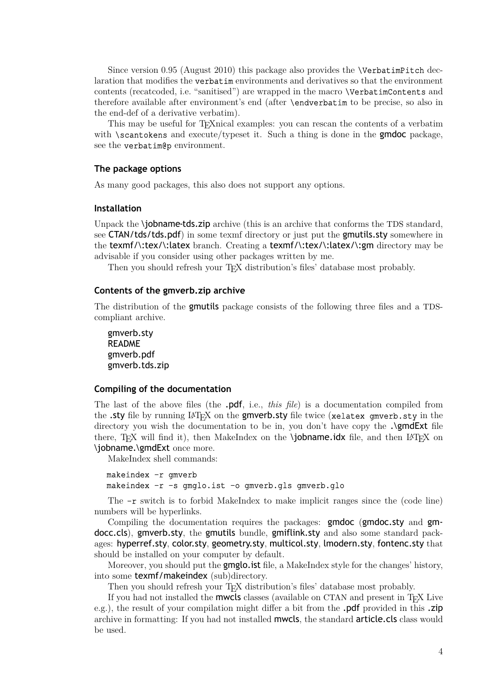<span id="page-3-0"></span>Since version 0.95 (August 2010) this package also provides the \VerbatimPitch declaration that modifies the verbatim environments and derivatives so that the environment contents (recatcoded, i.e. "sanitised") are wrapped in the macro \VerbatimContents and therefore available after environment's end (after \endverbatim to be precise, so also in the end-def of a derivative verbatim).

This may be useful for TEXnical examples: you can rescan the contents of a verbatim with  $\simeq$  scantokens and execute/typeset it. Such a thing is done in the gmdoc package, see the verbatim@p environment.

#### **The package options**

As many good packages, this also does not support any options.

#### **Installation**

Unpack the **\jobname-tds.zip** archive (this is an archive that conforms the TDS standard, see CTAN/tds/tds.pdf) in some texmf directory or just put the gmutils.sty somewhere in the texmf/\:tex/\:latex branch. Creating a texmf/\:tex/\:latex/\:gm directory may be advisable if you consider using other packages written by me.

Then you should refresh your T<sub>E</sub>X distribution's files' database most probably.

#### **Contents of the gmverb.zip archive**

The distribution of the gmutils package consists of the following three files and a TDScompliant archive.

```
gmverb.sty
README
gmverb.pdf
gmverb.tds.zip
```
#### **Compiling of the documentation**

The last of the above files (the .pdf, i.e., *this file*) is a documentation compiled from the .sty file by running LAT<sub>E</sub>X on the gmverb.sty file twice (xelatex gmverb.sty in the directory you wish the documentation to be in, you don't have copy the . $\mathsf{Q}\mathsf{m}\mathsf{d}\mathsf{Ext}$  file there, T<sub>F</sub>X will find it), then MakeIndex on the **\jobname.idx** file, and then LAT<sub>F</sub>X on \jobname.\gmdExt once more.

MakeIndex shell commands:

### makeindex -r gmverb makeindex -r -s gmglo.ist -o gmverb.gls gmverb.glo

The -r switch is to forbid MakeIndex to make implicit ranges since the (code line) numbers will be hyperlinks.

Compiling the documentation requires the packages: gmdoc (gmdoc.sty and gmdocc.cls), gmverb.sty, the gmutils bundle, gmiflink.sty and also some standard packages: hyperref.sty, color.sty, geometry.sty, multicol.sty, lmodern.sty, fontenc.sty that should be installed on your computer by default.

Moreover, you should put the **gmglo.**ist file, a MakeIndex style for the changes' history, into some texmf/makeindex (sub)directory.

Then you should refresh your T<sub>E</sub>X distribution's files' database most probably.

If you had not installed the mwcls classes (available on CTAN and present in TEX Live e.g.), the result of your compilation might differ a bit from the **.pdf** provided in this **.zip** archive in formatting: If you had not installed mwcls, the standard article.cls class would be used.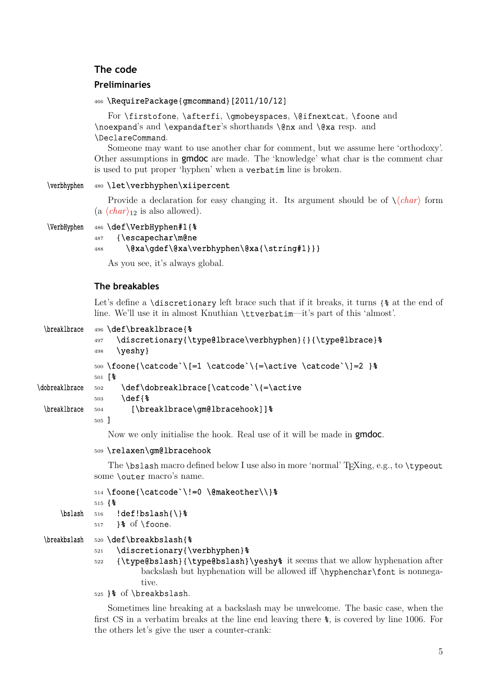# <span id="page-4-0"></span>**The code**

#### **Preliminaries**

#### <sup>466</sup> \RequirePackage{gmcommand}[2011/10/12]

For \firstofone, \afterfi, \gmobeyspaces, \@ifnextcat, \foone and \noexpand's and \expandafter's shorthands \@nx and \@xa resp. and \DeclareCommand.

Someone may want to use another char for comment, but we assume here 'orthodoxy'. Other assumptions in gmdoc are made. The 'knowledge' what char is the comment char is used to put proper 'hyphen' when a verbatim line is broken.

### \verbhyphen <sup>480</sup> \let\verbhyphen\xiipercent

Provide a declaration for easy changing it. Its argument should be of  $\langle \langle char \rangle$  form  $(a \langle char \rangle_{12}$  is also allowed).

```
\VerbHyphen 486 \def\VerbHyphen#1{%
          487 {\escapechar\m@ne
          488 \@xa\gdef\@xa\verbhyphen\@xa{\string#1}}}
```
As you see, it's always global.

#### **The breakables**

Let's define a **\discretionary** left brace such that if it breaks, it turns  $\{$  & at the end of line. We'll use it in almost Knuthian \ttverbatim—it's part of this 'almost'.

```
\breaklbrace 496 \def\breaklbrace{%
             497 \discretionary{\type@lbrace\verbhyphen}{}{\type@lbrace}%
             498 \quad \text{Veshy}500 \foone{\catcode`\[=1 \catcode`\{=\active \catcode`\]=2 }%
             501 [\frac{6}{6}]
\dobreaklbrace 502 \def\dobreaklbrace[\catcode`\{=\active
             503 \def{%
 \breaklbrace 504 [\breaklbrace\gm@lbracehook]] %
             505 ]
```
Now we only initialise the hook. Real use of it will be made in **gmdoc**.

#### <sup>509</sup> \relaxen\gm@lbracehook

The  $\boldsymbol{\lambda}$  macro defined below I use also in more 'normal' T<sub>E</sub>Xing, e.g., to  $\boldsymbol{\lambda}$ some **\outer** macro's name.

```
514 \foone{\catcode`\!=0 \@makeother\\}%
```

```
515 \{
```
 $\b{bslash$  516 !def!bslash{\}%

```
517 }& of \foone.
```

```
\breakbslash 520 \def\breakbslash{%
```

```
521 \discretionary{\verbhyphen}%
```
 $522$  {\type@bslash}{\type@bslash}\yeshy\% it seems that we allow hyphenation after backslash but hyphenation will be allowed iff \hyphenchar\font is nonnegative.

### <sup>525</sup> }% of \breakbslash.

Sometimes line breaking at a backslash may be unwelcome. The basic case, when the first CS in a verbatim breaks at the line end leaving there %, is covered by line 1006. For the others let's give the user a counter-crank: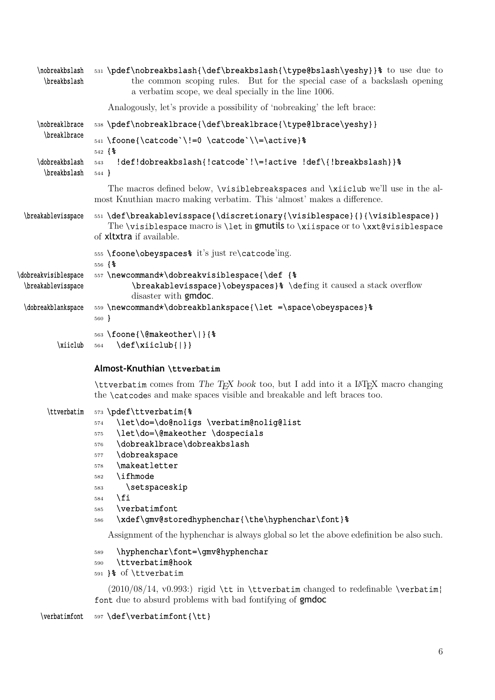<span id="page-5-0"></span>

| \nobreakbslash<br>\breakbslash             | 531 \pdef\nobreakbslash{\def\breakbslash{\type@bslash\yeshy}}% to use due to<br>the common scoping rules. But for the special case of a backslash opening<br>a verbatim scope, we deal specially in the line 1006.                                                                                                                                                                                                                                                                            |
|--------------------------------------------|-----------------------------------------------------------------------------------------------------------------------------------------------------------------------------------------------------------------------------------------------------------------------------------------------------------------------------------------------------------------------------------------------------------------------------------------------------------------------------------------------|
|                                            | Analogously, let's provide a possibility of 'nobreaking' the left brace:                                                                                                                                                                                                                                                                                                                                                                                                                      |
| \nobreak1brace                             | 538 \pdef\nobreaklbrace{\def\breaklbrace{\type@lbrace\yeshy}}                                                                                                                                                                                                                                                                                                                                                                                                                                 |
| \break1brace                               | 541 \foone{\catcode`\!=0 \catcode`\\=\active}%<br>$542\text{ }8$                                                                                                                                                                                                                                                                                                                                                                                                                              |
| \dobreakbslash<br>\breakbslash             | !def!dobreakbslash{!catcode`!\=!active !def\{!breakbslash}} \$<br>543<br>544                                                                                                                                                                                                                                                                                                                                                                                                                  |
|                                            | The macros defined below, <i>\visiblebreakspaces</i> and <i>\xiiclub</i> we'll use in the al-<br>most Knuthian macro making verbatim. This 'almost' makes a difference.                                                                                                                                                                                                                                                                                                                       |
| \breakablevisspace                         | 551 \def\breakablevisspace{\discretionary{\visiblespace}{}{\visiblespace}}<br>The <i>\visiblespace</i> macro is <i>\let</i> in gmutils to <i>\xiispace</i> or to <i>\xxt@visiblespace</i><br>of xitxtra if available.                                                                                                                                                                                                                                                                         |
|                                            | 555 \foone\obeyspaces% it's just re\catcode'ing.                                                                                                                                                                                                                                                                                                                                                                                                                                              |
| \dobreakvisiblespace<br>\breakablevisspace | $556\text{ }8$<br>557 \newcommand*\dobreakvisiblespace{\def {%<br>\breakablevisspace}\obeyspaces}% \defing it caused a stack overflow<br>disaster with <b>gmdoc</b> .                                                                                                                                                                                                                                                                                                                         |
| \dobreakblankspace                         | 559 \newcommand*\dobreakblankspace{\let =\space\obeyspaces} %<br>$560 \text{ }$                                                                                                                                                                                                                                                                                                                                                                                                               |
| \xiiclub                                   | 563 \foone{\@makeother\ }{%<br>$\def\xiclub{\Vert}\$<br>564                                                                                                                                                                                                                                                                                                                                                                                                                                   |
|                                            | Almost-Knuthian \ttverbatim                                                                                                                                                                                                                                                                                                                                                                                                                                                                   |
|                                            | <b>\ttverbatim</b> comes from The T <sub>F</sub> X book too, but I add into it a IAT <sub>F</sub> X macro changing<br>the <b>\catcodes</b> and make spaces visible and breakable and left braces too.                                                                                                                                                                                                                                                                                         |
| \ttverbatim                                | 573 \pdef\ttverbatim{%<br>\let\do=\do@noligs \verbatim@nolig@list<br>574<br>\let\do=\@makeother \dospecials<br>575<br>\dobreaklbrace\dobreakbslash<br>576<br>\dobreakspace<br>577<br>\makeatletter<br>578<br>\ifhmode<br>582<br>\setspaceskip<br>583<br>\fi<br>584<br>\verbatimfont<br>585<br>\xdef\gmv@storedhyphenchar{\the\hyphenchar\font}%<br>586<br>Assignment of the hyphenchar is always global so let the above edefinition be also such.<br>\hyphenchar\font=\gmv@hyphenchar<br>589 |
|                                            | \ttverbatim@hook<br>590<br>591 }% of \ttverbatim                                                                                                                                                                                                                                                                                                                                                                                                                                              |
|                                            | $(2010/08/14, v0.993)$ rigid \tt in \ttverbatim changed to redefinable \verbatim}                                                                                                                                                                                                                                                                                                                                                                                                             |

font due to absurd problems with bad fontifying of gmdoc

 $\verb+\verbatimfont = \verb+597 \def\verbatimfont {\texttt}$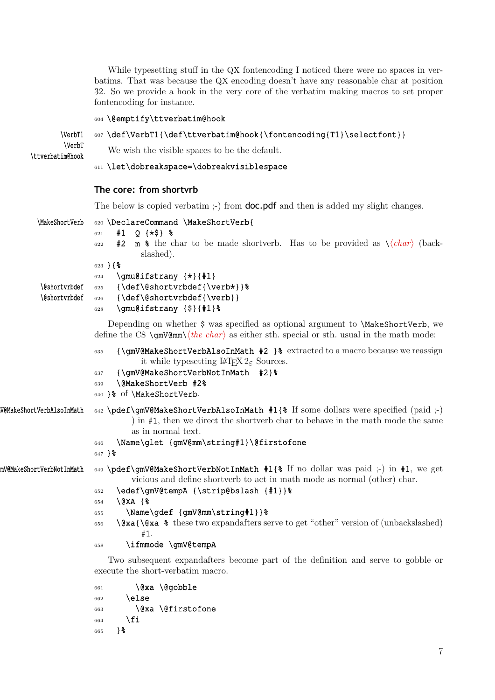<span id="page-6-0"></span>While typesetting stuff in the QX fontencoding I noticed there were no spaces in verbatims. That was because the QX encoding doesn't have any reasonable char at position 32. So we provide a hook in the very core of the verbatim making macros to set proper fontencoding for instance.

#### <sup>604</sup> \@emptify\ttverbatim@hook

#### \VerbT1 607 \def\VerbT1{\def\ttverbatim@hook{\fontencoding{T1}\selectfont}}

```
\VerbT
```
 $\text{Vetin}$  We wish the visible spaces to be the default.

# <sup>611</sup> \let\dobreakspace=\dobreakvisiblespace

# **The core: from shortvrb**

The below is copied verbatim ;-) from **doc.pdf** and then is added my slight changes.

| \MakeShortVerb                 | 620 \DeclareCommand \MakeShortVerb{                                                                                                                                                                                                                                                                                                                                                 |
|--------------------------------|-------------------------------------------------------------------------------------------------------------------------------------------------------------------------------------------------------------------------------------------------------------------------------------------------------------------------------------------------------------------------------------|
|                                | $Q { \star $}$ 8<br>#1<br>621<br><b>m</b> $\ast$ the char to be made shortverb. Has to be provided as $\langle char \rangle$ (back-<br>#2<br>622<br>slashed).<br>$623$ } { $%$<br>\gmu@ifstrany {*}{#1}<br>624                                                                                                                                                                      |
| \@shortvrbdef<br>\@shortvrbdef | $\{\def\@shorturbdef\\verb\verb+Vert+\}$<br>625<br>$\{\def\@for\@forturbdef\\verb\verb+verb+ }$<br>626<br>\gmu@ifstrany {\$}{#1}%<br>628                                                                                                                                                                                                                                            |
|                                | Depending on whether $\frac{2}{3}$ was specified as optional argument to <b>MakeShortVerb</b> , we<br>define the CS $\qquad$ mV@mm $\langle \text{the char} \rangle$ as either sth. special or sth. usual in the math mode:                                                                                                                                                         |
|                                | {\gmV@MakeShortVerbAlsoInMath #2 }% extracted to a macro because we reassign<br>635<br>it while typesetting $\text{LTr} X 2_{\varepsilon}$ Sources.<br>{\qmV@MakeShortVerbNotInMath #2}%<br>637<br>\@MakeShortVerb #2%<br>639<br>640 }% of \MakeShortVerb.                                                                                                                          |
| W@MakeShortVerbAlsoInMath      | 642 \pdef\gmV@MakeShortVerbAlsoInMath #1{% If some dollars were specified (paid ;-)<br>) in #1, then we direct the shortverb char to behave in the math mode the same<br>as in normal text.<br>\Name\glet {gmV@mm\string#1}\@firstofone<br>646<br>$647$ } $%$                                                                                                                       |
| mV@MakeShortVerbNotInMath      | 649 \pdef\gmV@MakeShortVerbNotInMath #1{% If no dollar was paid ;-) in #1, we get<br>vicious and define shortverb to act in math mode as normal (other) char.<br>\edef\gmV@tempA {\strip@bslash {#1}}%<br>652<br>\@XA {%<br>654<br>\Name\gdef {gmV@mm\string#1}}%<br>655<br><b>\@xa{\@xa %</b> these two expandafters serve to get "other" version of (unbackslashed)<br>656<br>#1. |
|                                | \ifmmode \qmV@tempA<br>658                                                                                                                                                                                                                                                                                                                                                          |
|                                | Two subsequent expandafters become part of the definition and serve to gobble or                                                                                                                                                                                                                                                                                                    |

 $661$   $\&a \ \qquad$   $\qquad$   $\qquad$   $\qquad$   $\qquad$   $\qquad$   $\qquad$   $\qquad$   $\qquad$   $\qquad$   $\qquad$   $\qquad$   $\qquad$   $\qquad$   $\qquad$   $\qquad$   $\qquad$   $\qquad$   $\qquad$   $\qquad$   $\qquad$   $\qquad$   $\qquad$   $\qquad$   $\qquad$   $\qquad$   $\qquad$   $\qquad$   $\qquad$   $\qquad$   $\qquad$   $\qquad$   $\qquad$   $\qquad$   $\qquad$   $662$  \else <sup>663</sup> \@xa \@firstofone  $664$  \fi <sup>665</sup> }%

execute the short-verbatim macro.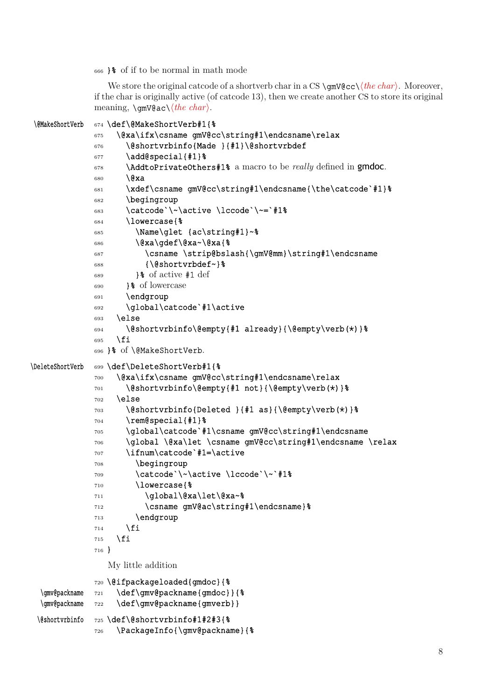<span id="page-7-0"></span><sup>666</sup> }% of if to be normal in math mode

We store the original catcode of a shortverb char in a CS \gmV@cc\*⟨the char⟩*. Moreover, if the char is originally active (of catcode 13), then we create another CS to store its original meaning, \gmV@ac\*⟨the char⟩*.

```
\@MakeShortVerb 674 \def\@MakeShortVerb#1{%
             675 \@xa\ifx\csname gmV@cc\string#1\endcsname\relax
             676 \@shortvrbinfo{Made }{#1}\@shortvrbdef
             677 \ddot{\text{add}}special{#1}%
             678 \AddtoPrivateOthers#1% a macro to be really defined in gmdoc.
             680 \@xa
             681 \xdef\csname gmV@cc\string#1\endcsname{\the\catcode`#1}%
             682 \begingroup
             683 \catcode`\~\active \lccode`\~=`#1%
             684 \lowercase{%
             685 \Name\glet {ac\string#1}~%
             686 \@xa\gdef\@xa~\@xa{%
             687 \csname \strip@bslash{\gmV@mm}\string#1\endcsname
             688 {\@shortvrbdef~}%
             689 }& of active #1 def
             690 }% of lowercase
             691 \endgroup
             692 \global\catcode`#1\active
             693 \else
             694 \@shortvrbinfo\@empty{#1 already}{\@empty\verb(*)}%
             695 \fi
             696 }% of \@MakeShortVerb.
\DeleteShortVerb 699 \def\DeleteShortVerb#1{%
             700 \@xa\ifx\csname gmV@cc\string#1\endcsname\relax
             701 \@shortvrbinfo\@empty{#1 not}{\@empty\verb(*)}%
             702 \else
             703 \@shortvrbinfo{Deleted }{#1 as}{\@empty\verb(*)}%
             704 \text{rem}^\{41\}705 \global\catcode`#1\csname gmV@cc\string#1\endcsname
             706 \global \@xa\let \csname gmV@cc\string#1\endcsname \relax
             707 \ifnum\catcode`#1=\active
             708 \begingroup
             709 \catcode`\~\active \lccode`\~`#1%
             710 \lowercase{%
             711 \global\@xa\let\@xa~%
             712 \csname gmV@ac\string#1\endcsname}%
             713 \endgroup
             714 \fi
             715 \fi
             716 }
               My little addition
             720 \@ifpackageloaded{gmdoc}{%
  \gmv@packname 721 \def\gmv@packname{gmdoc}}{%
  \gmv@packname 722 \def\gmv@packname{gmverb}}
 \@shortvrbinfo 725 \def\@shortvrbinfo#1#2#3{%
             726 \PackageInfo{\gmv@packname}{%
```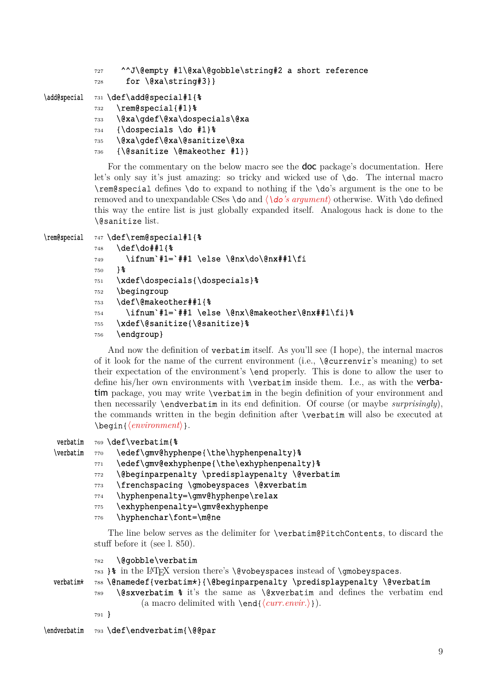```
727 ^^J\@empty #1\@xa\@gobble\string#2 a short reference
```

```
728 for \d{xa\strut\} for \d{x
```

```
\add@special 731 \def\add@special#1{%
```

```
732 \rem@special{#1}%
```

```
733 \@xa\gdef\@xa\dospecials\@xa
```

```
734 {\dospecials \do #1}%
```

```
735 \@xa\gdef\@xa\@sanitize\@xa
```

```
736 {\@sanitize \@makeother #1}}
```
For the commentary on the below macro see the **doc** package's documentation. Here let's only say it's just amazing: so tricky and wicked use of \do. The internal macro \rem@special defines \do to expand to nothing if the \do's argument is the one to be removed and to unexpandable CSes \do and *⟨\do's argument⟩* otherwise. With \do defined this way the entire list is just globally expanded itself. Analogous hack is done to the \@sanitize list.

```
\rem@special 747 \def\rem@special#1{%
          748 \def\do##1{%
          _{749} \ifnum`#1=`##1 \else \@nx\do\@nx##1\fi
          750 }%
          751 \xdef\dospecials{\dospecials}%
          752 \begingroup
          753 \def\@makeother##1{%
          _{754} \ifnum`#1=`##1 \else \@nx\@makeother\@nx##1\fi}%
          755 \xdef\@sanitize{\@sanitize}%
          756 \endgroup}
```
And now the definition of verbatim itself. As you'll see (I hope), the internal macros of it look for the name of the current environment (i.e.,  $\{\&\text{current}\$  s meaning) to set their expectation of the environment's \end properly. This is done to allow the user to define his/her own environments with \verbatim inside them. I.e., as with the verbatim package, you may write \verbatim in the begin definition of your environment and then necessarily \endverbatim in its end definition. Of course (or maybe *surprisingly*), the commands written in the begin definition after \verbatim will also be executed at \begin{*⟨environment⟩*}.

```
verbatim 769 \def\verbatim{%
```
- \verbatim  $770$  \edef\gmv@hyphenpe{\the\hyphenpenalty}%
	- 771 \edef\gmv@exhyphenpe{\the\exhyphenpenalty}%
	- $772$  \@beginparpenalty \predisplaypenalty \@verbatim
	- <sup>773</sup> \frenchspacing \gmobeyspaces \@xverbatim
	- 774 \hyphenpenalty=\gmv@hyphenpe\relax
	- 775 \exhyphenpenalty=\gmv@exhyphenpe
	- 776 \hyphenchar\font=\m@ne

The line below serves as the delimiter for **\verbatim@PitchContents**, to discard the stuff before it (see l. 850).

<sup>782</sup> \@gobble\verbatim

```
783 }% in the LATEX version there's \@vobeyspaces instead of \gmobeyspaces.
```

```
atim<sup>*</sup> 788 \@namedef{verbatim*}{\@beginparpenalty \predisplaypenalty \@verbatim
```
- $789$  \@sxverbatim % it's the same as \@xverbatim and defines the verbatim end (a macro delimited with \end{*⟨curr.envir.⟩*}).
- <sup>791</sup> }

\endverbatim 793 \def\endverbatim{\@@par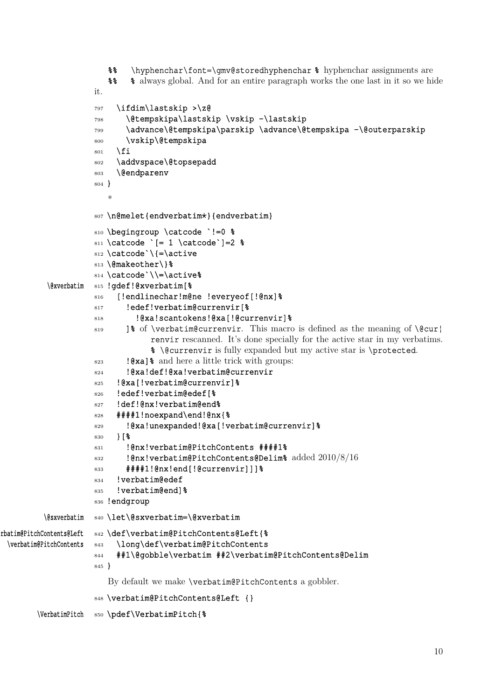```
%% \hyphenchar\font=\gmv@storedhyphenchar % hyphenchar assignments are
                       %% % always global. And for an entire paragraph works the one last in it so we hide
                    it.
                    797 \ifdim\lastskip >\z@
                    798 \@tempskipa\lastskip \vskip -\lastskip
                    799 \advance\@tempskipa\parskip \advance\@tempskipa -\@outerparskip
                    800 \vskip\@tempskipa
                    801 \fi
                    802 \addvspace\@topsepadd
                    803 \@endparenv
                    804 }
                       *
                    807 \n@melet{endverbatim*}{endverbatim}
                    810 \begingroup \catcode `!=0 %
                    811 \text{ } \text{catcode} = 1 \catcode`]=2 %
                    812 \catcode`\{=\active
                    813 \@makeother\}%
                    814 \catcode`\\=\active%
          \@xverbatim 815 !gdef!@xverbatim[%
                    816 [!endlinechar!m@ne !everyeof[!@nx]%
                    817 !edef!verbatim@currenvir[%
                    818 !@xa!scantokens!@xa[!@currenvir]%
                    819 18 of \verbatim@currenvir. This macro is defined as the meaning of \@cur}
                                 renvir rescanned. It's done specially for the active star in my verbatims.
                                 % \@currenvir is fully expanded but my active star is \protected.
                    823 !@xa]% and here a little trick with groups:
                    824 !@xa!def!@xa!verbatim@currenvir
                    825 !@xa[!verbatim@currenvir]%
                    826 !edef!verbatim@edef[%
                    827 !def!@nx!verbatim@end%
                    828 ####1!noexpand\end!@nx{%
                    829 !@xa!unexpanded!@xa[!verbatim@currenvir]%
                    830 }[%
                    831 !@nx!verbatim@PitchContents ####1%
                    832 !@nx!verbatim@PitchContents@Delim% added 2010/8/16
                    833 ####1!@nx!end[!@currenvir]]]%
                    834 !verbatim@edef
                    835 !verbatim@end]%
                    836 !endgroup
         \@sxverbatim 840 \let\@sxverbatim=\@xverbatim
rbatim@PitchContents@Left 842 \def\verbatim@PitchContents@Left{%
 \verbatim@PitchContents 843 \long\def\verbatim@PitchContents
                    844 ##1\@gobble\verbatim ##2\verbatim@PitchContents@Delim
                    845 }
                       By default we make \verbatim@PitchContents a gobbler.
                    848 \verbatim@PitchContents@Left {}
        \VerbatimPitch 850 \pdef\VerbatimPitch{%
```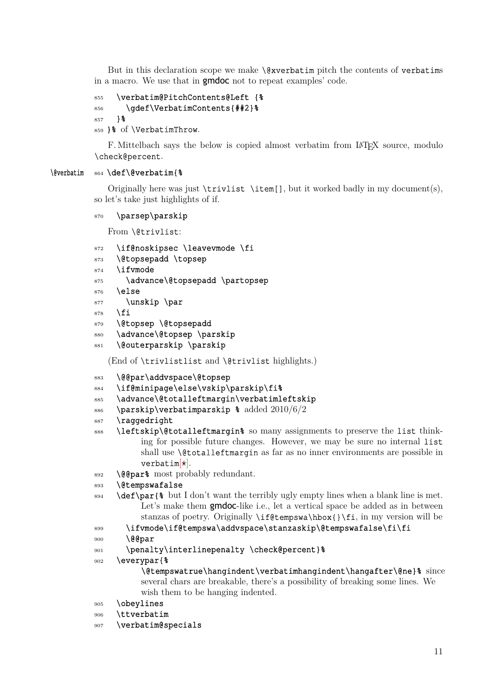<span id="page-10-0"></span>But in this declaration scope we make  $\&$ xverbatim pitch the contents of verbatims in a macro. We use that in **gmdoc** not to repeat examples' code.

```
855 \verbatim@PitchContents@Left {%
856 \qdef\VerbatimContents{##2}%
857 } %
```

```
859 }% of \VerbatimThrow.
```
F. Mittelbach says the below is copied almost verbatim from LATEX source, modulo \check@percent.

#### \@verbatim <sup>864</sup> \def\@verbatim{%

Originally here was just \trivlist \item[], but it worked badly in my document(s), so let's take just highlights of if.

#### <sup>870</sup> \parsep\parskip

### From \@trivlist:

- 872 \if@noskipsec \leavevmode \fi
- 873 \@topsepadd \topsep
- <sup>874</sup> \ifvmode
- 875 \advance\@topsepadd \partopsep
- $876$  \else
- 877 \unskip \par
- $878$  \fi
- 879 \@topsep \@topsepadd
- 880 \advance\@topsep \parskip
- 881 \@outerparskip \parskip

(End of \trivlistlist and \@trivlist highlights.)

- 883 \@@par\addvspace\@topsep
- 884 \if@minipage\else\vskip\parskip\fi%
- 885 \advance\@totalleftmargin\verbatimleftskip
- 886 \parskip\verbatimparskip % added  $2010/6/2$
- <sup>887</sup> \raggedright
- 888 \leftskip\@totalleftmargin% so many assignments to preserve the list thinking for possible future changes. However, we may be sure no internal list shall use **\@totalleftmargin** as far as no inner environments are possible in  $verbatim[*]$ .
- 892 \@@par% most probably redundant.
- <sup>893</sup> \@tempswafalse
- 894 \def\par{% but I don't want the terribly ugly empty lines when a blank line is met. Let's make them **gmdoc**-like i.e., let a vertical space be added as in between stanzas of poetry. Originally \if@tempswa\hbox{}\fi, in my version will be
- <sup>899</sup> \ifvmode\if@tempswa\addvspace\stanzaskip\@tempswafalse\fi\fi
- 900 \@@par

```
901 \penalty\interlinepenalty \check@percent}%
```
<sup>902</sup> \everypar{%

```
\@tempswatrue\hangindent\verbatimhangindent\hangafter\@ne}% since
several chars are breakable, there's a possibility of breaking some lines. We
wish them to be hanging indented.
```
- <sup>905</sup> \obeylines
- <sup>906</sup> \ttverbatim
- <sup>907</sup> \verbatim@specials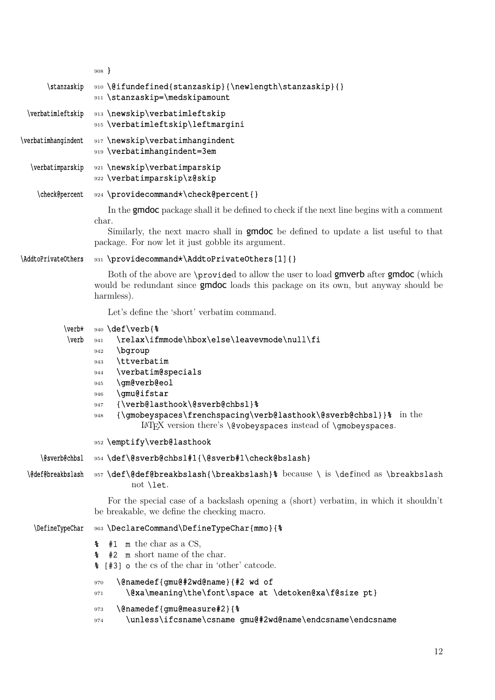<span id="page-11-0"></span>

|                                           | $908 \}$                                                                                                                                                                                                                                                                                                                                                                                                  |
|-------------------------------------------|-----------------------------------------------------------------------------------------------------------------------------------------------------------------------------------------------------------------------------------------------------------------------------------------------------------------------------------------------------------------------------------------------------------|
| \stanzaskip                               | 910 \@ifundefined{stanzaskip}{\newlength\stanzaskip}{}<br>911 \stanzaskip=\medskipamount                                                                                                                                                                                                                                                                                                                  |
| \verbatimleftskip                         | 913 \newskip\verbatimleftskip<br>915 \verbatimleftskip\leftmargini                                                                                                                                                                                                                                                                                                                                        |
| \verbatimhangindent                       | 917 \newskip\verbatimhangindent<br>919 \verbatimhangindent=3em                                                                                                                                                                                                                                                                                                                                            |
| \verbatimparskip                          | 921 \newskip\verbatimparskip<br>922 \verbatimparskip\z@skip                                                                                                                                                                                                                                                                                                                                               |
| \check@percent                            | 924 \providecommand*\check@percent{}                                                                                                                                                                                                                                                                                                                                                                      |
|                                           | In the <b>gmdoc</b> package shall it be defined to check if the next line begins with a comment<br>char.<br>Similarly, the next macro shall in <b>gmdoc</b> be defined to update a list useful to that<br>package. For now let it just gobble its argument.                                                                                                                                               |
| \AddtoPrivateOthers                       | 931 \providecommand*\AddtoPrivateOthers[1]{}                                                                                                                                                                                                                                                                                                                                                              |
|                                           | Both of the above are <b>\provided</b> to allow the user to load gmverb after gmdoc (which<br>would be redundant since <b>gmdoc</b> loads this package on its own, but anyway should be<br>harmless).                                                                                                                                                                                                     |
|                                           | Let's define the 'short' verbatim command.                                                                                                                                                                                                                                                                                                                                                                |
| $\verb \verbx $<br>$\verb \verb \verb \ $ | 940 \def\verb{%<br>\relax\ifmmode\hbox\else\leavevmode\null\fi<br>941<br>\bgroup<br>942<br>\ttverbatim<br>943<br>\verbatim@specials<br>944<br>\gm@verb@eol<br>945<br>\gmu@ifstar<br>946<br>{\verb@lasthook\@sverb@chbsl}%<br>947<br>{\gmobeyspaces\frenchspacing\verb@lasthook\@sverb@chbsl}}% in the<br>948<br>IAT <sub>F</sub> X version there's <b>\@vobeyspaces</b> instead of <b>\gmobeyspaces</b> . |
|                                           | 952 \emptify\verb@lasthook                                                                                                                                                                                                                                                                                                                                                                                |
| \@sverb@chbsl                             | 954 \def\@sverb@chbs1#1{\@sverb#1\check@bslash}                                                                                                                                                                                                                                                                                                                                                           |
| \@def@breakbslash                         | 957 \def\@def@breakbslash{\breakbslash}% because \ is \defined as \breakbslash<br>not <b>\let</b> .                                                                                                                                                                                                                                                                                                       |
|                                           | For the special case of a backslash opening a (short) verbatim, in which it shouldn't<br>be breakable, we define the checking macro.                                                                                                                                                                                                                                                                      |
| \DefineTypeChar                           | 963 \DeclareCommand\DefineTypeChar{mmo}{%                                                                                                                                                                                                                                                                                                                                                                 |
|                                           | $#1$ m the char as a CS,<br>៖<br>$#2$ m short name of the char.<br>៖<br>% [#3] o the cs of the char in 'other' catcode.                                                                                                                                                                                                                                                                                   |
|                                           | \@namedef{gmu@#2wd@name}{#2 wd of<br>970<br>\@xa\meaning\the\font\space at \detoken@xa\f@size pt}<br>971                                                                                                                                                                                                                                                                                                  |
|                                           | \@namedef{gmu@measure#2}{%<br>973<br>\unless\ifcsname\csname gmu@#2wd@name\endcsname\endcsname<br>974                                                                                                                                                                                                                                                                                                     |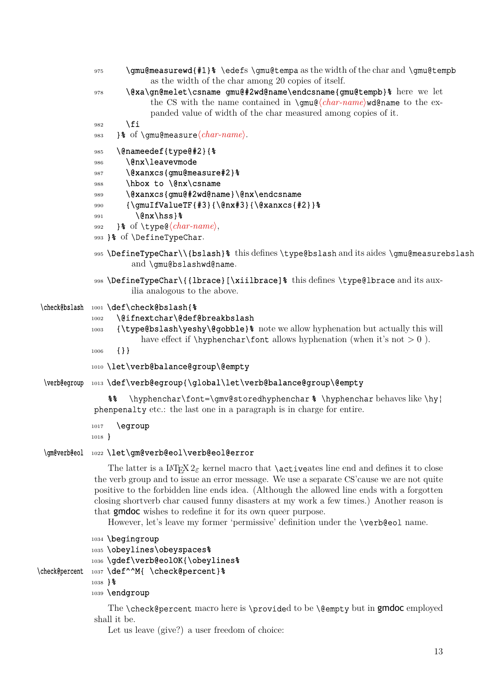<span id="page-12-0"></span>

|                | \gmu@measurewd{#1}% \edefs \gmu@tempa as the width of the char and \gmu@tempb<br>975<br>as the width of the charaenong 20 copies of itself.                                                                                                                                                                                                                                                                                                                                                                                                                              |
|----------------|--------------------------------------------------------------------------------------------------------------------------------------------------------------------------------------------------------------------------------------------------------------------------------------------------------------------------------------------------------------------------------------------------------------------------------------------------------------------------------------------------------------------------------------------------------------------------|
|                | \@xa\gn@melet\csname gmu@#2wd@name\endcsname{gmu@tempb}% here we let<br>978<br>the CS with the name contained in $\gamma$ ( <i>char-name</i> ) wdename to the ex-<br>panded value of width of the char measured among copies of it.                                                                                                                                                                                                                                                                                                                                      |
|                | \fi<br>982<br>$\frac{1}{6}$ of \gmu@measure $\langle char\text{-}name\rangle$ .<br>983                                                                                                                                                                                                                                                                                                                                                                                                                                                                                   |
|                | \@nameedef{type@#2}{%<br>985<br>\@nx\leavevmode<br>986<br>\@xanxcs{gmu@measure#2}%<br>987<br>\hbox to \@nx\csname<br>988<br>\@xanxcs{gmu@#2wd@name}\@nx\endcsname<br>989<br>${\gamma_{\text{full}}}$ {\qmuIfValueTF{#3}{\@nx#3}{\@xanxcs{#2}} }<br>990<br>\@nx\hss}%<br>991<br>$\frac{1}{6}$ of $\type@{char-name},$<br>992<br>993 }% of \DefineTypeChar.                                                                                                                                                                                                                |
|                | 995 \DefineTypeChar\\{bslash}% this defines \type@bslash and its aides \gmu@measurebslash<br>and \gmu@bslashwd@name.                                                                                                                                                                                                                                                                                                                                                                                                                                                     |
|                | 998 \DefineTypeChar\{{lbrace}[\xiilbrace]% this defines \type@lbrace and its aux-<br>ilia analogous to the above.                                                                                                                                                                                                                                                                                                                                                                                                                                                        |
| \check@bslash  | 1001 \def\check@bslash{%<br>\@ifnextchar\@def@breakbslash<br>1002<br>{\type@bslash\yeshy\@gobble}& note we allow hyphenation but actually this will<br>1003<br>have effect if $\hbar$ yphenchar $\font$ allows hyphenation (when it's not $> 0$ ).<br>$\{\}$<br>1006                                                                                                                                                                                                                                                                                                     |
|                | 1010 \let\verb@balance@group\@empty                                                                                                                                                                                                                                                                                                                                                                                                                                                                                                                                      |
|                | \verb@egroup 1013 \def\verb@egroup{\global\let\verb@balance@group\@empty                                                                                                                                                                                                                                                                                                                                                                                                                                                                                                 |
|                | \hyphenchar\font=\gmv@storedhyphenchar % \hyphenchar behaves like \hy  <br>နွန္<br>phenpenalty etc.: the last one in a paragraph is in charge for entire.                                                                                                                                                                                                                                                                                                                                                                                                                |
|                | \egroup<br>1017<br>$1018$ }                                                                                                                                                                                                                                                                                                                                                                                                                                                                                                                                              |
| \gm@verb@eol   | 1022 \let\gm@verb@eol\verb@eol@error                                                                                                                                                                                                                                                                                                                                                                                                                                                                                                                                     |
|                | The latter is a $\text{LTr} X 2_{\epsilon}$ kernel macro that <b>\active</b> at line end and defines it to close<br>the verb group and to issue an error message. We use a separate CS'cause we are not quite<br>positive to the forbidden line ends idea. (Although the allowed line ends with a forgotten<br>closing shortverb char caused funny disasters at my work a few times.) Another reason is<br>that <b>gmdoc</b> wishes to redefine it for its own queer purpose.<br>However, let's leave my former 'permissive' definition under the <b>\verb@eol</b> name. |
| \check@percent | 1034 \begingroup<br>1035 \obeylines\obeyspaces%<br>1036 \gdef\verb@eolOK{\obeylines%<br>1037 \def^^M{ \check@percent}%<br>$1038$ } $%$<br>1039 \endgroup                                                                                                                                                                                                                                                                                                                                                                                                                 |

The **\check@percent** macro here is **\provided** to be **\@empty** but in **gmdoc** employed shall it be.

Let us leave (give?) a user freedom of choice: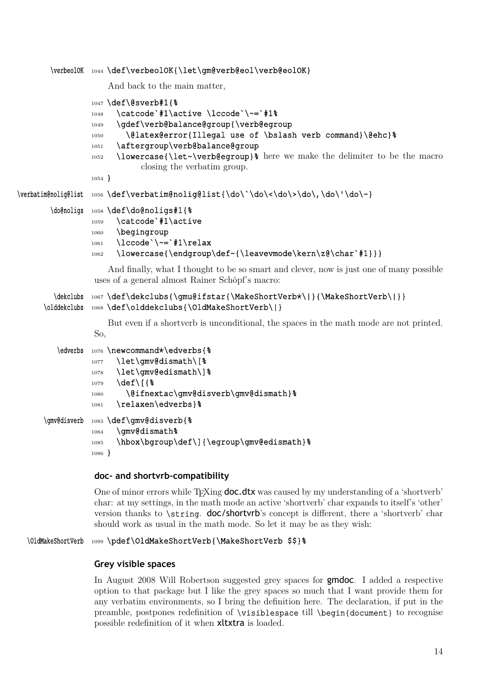```
\verbeolOK 1044 \def\verbeolOK{\let\gm@verb@eol\verb@eolOK}
```
And back to the main matter,

```
1047 \def\@sverb#1{%
                 1048 \catcode`#1\active \lccode`\~=`#1%
                 1049 \gdef\verb@balance@group{\verb@egroup
                 1050 \@latex@error{Illegal use of \bslash verb command}\@ehc}&
                 1051 \aftergroup\verb@balance@group
                 1052 \lowercase{\let~\verb@egroup}% here we make the delimiter to be the macro
                            closing the verbatim group.
                 1054 }
\verbatim@nolig@list 1056 \def\verbatim@nolig@list{\do\`\do\<\do\>\do\,\do\'\do\-}
       \do@noligs 1058 \def\do@noligs#1{%
                 1059 \catcode`#1\active
                 1060 \begingroup
                 _{1061} \lccode`\~=`#1\relax
                 1062 \lowercase{\endqroup\def~{\leavevmode\kern\z@\char`#1}}}
                     And finally, what I thought to be so smart and clever, now is just one of many possible
                 uses of a general almost Rainer Schöpf's macro:
        \dekclubs 1067\def\dekclubs{\qmu@ifstar{\MakeShortVerb*\|}{\MakeShortVerb\|}}
      \olddekclubs 1068 \def\olddekclubs{\OldMakeShortVerb\|}
                     But even if a shortverb is unconditional, the spaces in the math mode are not printed.
                 So,
         \edverbs 1076 \newcommand*\edverbs{%
                 1077 \let\gmv@dismath\[%
                 1078 \let\gmv@edismath\]%
                 1079 \def\[{%
                 1080 \@ifnextac\gmv@disverb\gmv@dismath}%
                 1081 \relaxen\edverbs}%
      \gmv@disverb 1083 \def\gmv@disverb{%
                 1084 \gmv@dismath%
                 1085 \hbox\bgroup\def\]{\egroup\gmv@edismath}%
                 1086 }
                 doc- and shortvrb-compatibility
                 One of minor errors while T<sub>EX</sub>ing doc.dtx was caused by my understanding of a 'shortverb'
```
char: at my settings, in the math mode an active 'shortverb' char expands to itself's 'other' version thanks to **\string.** doc/shortvrb's concept is different, there a 'shortverb' char should work as usual in the math mode. So let it may be as they wish:

### \OldMakeShortVerb <sup>1099</sup> \pdef\OldMakeShortVerb{\MakeShortVerb \$\$}%

#### **Grey visible spaces**

In August 2008 Will Robertson suggested grey spaces for gmdoc. I added a respective option to that package but I like the grey spaces so much that I want provide them for any verbatim environments, so I bring the definition here. The declaration, if put in the preamble, postpones redefinition of \visiblespace till \begin{document} to recognise possible redefinition of it when xltxtra is loaded.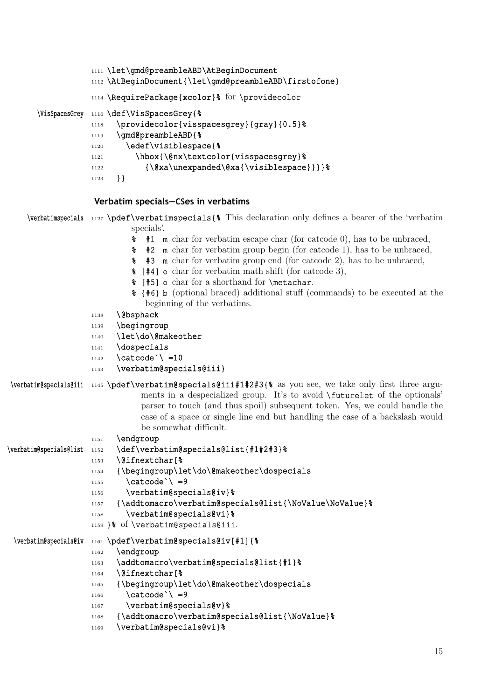<span id="page-14-0"></span>

| 1111 \let\gmd@preambleABD\AtBeginDocument<br>1112 \AtBeginDocument{\let\gmd@preambleABD\firstofone}                                                                                                                                                                                                                                                                                                                                                                                                                                                                                                                                 |  |  |
|-------------------------------------------------------------------------------------------------------------------------------------------------------------------------------------------------------------------------------------------------------------------------------------------------------------------------------------------------------------------------------------------------------------------------------------------------------------------------------------------------------------------------------------------------------------------------------------------------------------------------------------|--|--|
| 1114 \RequirePackage{xcolor}% for \providecolor                                                                                                                                                                                                                                                                                                                                                                                                                                                                                                                                                                                     |  |  |
| \VisSpacesGrey 1116 \def\VisSpacesGrey{%<br>\providecolor{visspacesgrey}{gray}{0.5}%<br>1118<br>\gmd@preambleABD{%<br>1119<br>\edef\visiblespace{%<br>1120<br>\hbox{\@nx\textcolor{visspacesgrey}%<br>1121<br>$\{\@xa\unexpanded\@xa\{\visiblespace\}\}\$<br>1122<br>$\}$<br>1123                                                                                                                                                                                                                                                                                                                                                   |  |  |
| Verbatim specials–CSes in verbatims                                                                                                                                                                                                                                                                                                                                                                                                                                                                                                                                                                                                 |  |  |
| \verbatimspecials 1127 \pdef\verbatimspecials{% This declaration only defines a bearer of the 'verbatim<br>specials.<br><b>*</b> #1 <b>m</b> char for verbatim escape char (for catcode 0), has to be unbraced,<br>#2 m char for verbatim group begin (for catcode 1), has to be unbraced,<br>៖<br>\$ #3 m char for verbatim group end (for catcode 2), has to be unbraced,<br>$\frac{1}{2}$ [#4] o char for verbatim math shift (for catcode 3),<br>% [#5] o char for a shorthand for <b>\metachar</b> .<br><b>&amp; {#6} b</b> (optional braced) additional stuff (commands) to be executed at the<br>beginning of the verbatims. |  |  |
| (ebsphack<br>1138                                                                                                                                                                                                                                                                                                                                                                                                                                                                                                                                                                                                                   |  |  |

- 1139 \begingroup
- 1140 \let\do\@makeother
- 1141 \dospecials
- 1142 \catcode \ =10
- 1143 \verbatim@specials@iii}
- \verbatim@specials@iii <sup>1145</sup> \pdef\verbatim@specials@iii#1#2#3{% as you see, we take only first three arguments in a despecialized group. It's to avoid \futurelet of the optionals' parser to touch (and thus spoil) subsequent token. Yes, we could handle the case of a space or single line end but handling the case of a backslash would be somewhat difficult.

|                         | 1151 | \endgroup                                                   |
|-------------------------|------|-------------------------------------------------------------|
| \verbatim@specials@list | 1152 | \def\verbatim@specials@list{#1#2#3}%                        |
|                         | 1153 | \@ifnextchar[%                                              |
|                         | 1154 | {\begingroup\let\do\@makeother\dospecials                   |
|                         | 1155 | $\catcode' \ = 9$                                           |
|                         | 1156 | \verbatim@specials@iv}%                                     |
|                         | 1157 | {\addtomacro\verbatim@specials@list{\NoValue\NoValue}%      |
|                         | 1158 | \verbatim@specials@vi}%                                     |
|                         |      | 1159 }% of \verbatim@specials@iii.                          |
|                         |      | \verbatim@specials@iv 1161 \pdef\verbatim@specials@iv[#1]{% |
|                         | 1162 | \endgroup                                                   |
|                         | 1163 | \addtomacro\verbatim@specials@list{#1}%                     |
|                         | 1164 | \@ifnextchar[%                                              |
|                         | 1165 | {\begingroup\let\do\@makeother\dospecials                   |
|                         | 1166 | \catcode`\ =9                                               |
|                         | 1167 | \verbatim@specials@v}%                                      |
|                         | 1168 | {\addtomacro\verbatim@specials@list{\NoValue}%              |
|                         |      |                                                             |
|                         | 1169 | \verbatim@specials@vi}%                                     |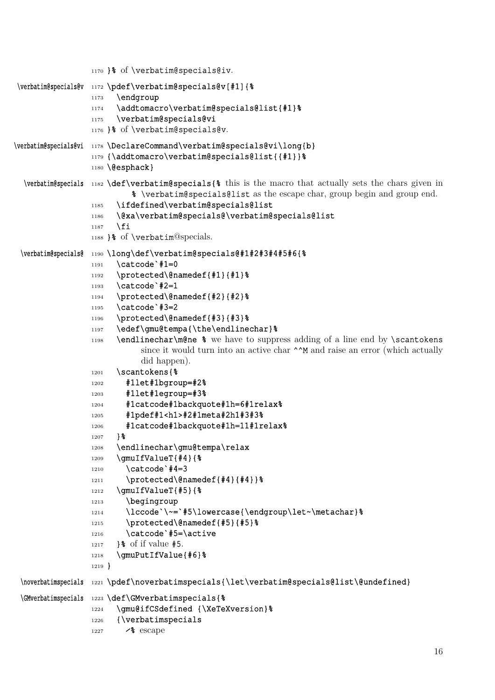<span id="page-15-0"></span>

|                     | 1170 }% of \verbatim@specials@iv.                                                                                                                                                                                                                                                                                                                                                                                                                                                                                                                                                                                                                                                                                                                                                                                                                                                                                                                                                                                                                                                                                                                                                                                         |
|---------------------|---------------------------------------------------------------------------------------------------------------------------------------------------------------------------------------------------------------------------------------------------------------------------------------------------------------------------------------------------------------------------------------------------------------------------------------------------------------------------------------------------------------------------------------------------------------------------------------------------------------------------------------------------------------------------------------------------------------------------------------------------------------------------------------------------------------------------------------------------------------------------------------------------------------------------------------------------------------------------------------------------------------------------------------------------------------------------------------------------------------------------------------------------------------------------------------------------------------------------|
|                     | \verbatim@specials@v 1172 \pdef\verbatim@specials@v[#1] { %<br>\endgroup<br>1173<br>\addtomacro\verbatim@specials@list{#1}%<br>1174<br>\verbatim@specials@vi<br>1175<br>1176 }% of \verbatim@specials@v.                                                                                                                                                                                                                                                                                                                                                                                                                                                                                                                                                                                                                                                                                                                                                                                                                                                                                                                                                                                                                  |
|                     | \verbatim@specials@vi 1178 \DeclareCommand\verbatim@specials@vi\long{b}<br>1179 {\addtomacro\verbatim@specials@list{{#1}}%<br>1180 \@esphack}                                                                                                                                                                                                                                                                                                                                                                                                                                                                                                                                                                                                                                                                                                                                                                                                                                                                                                                                                                                                                                                                             |
| \verbatim@specials  | $_{1182}$ \def\verbatim@specials{% this is the macro that actually sets the chars given in<br>% \verbatim@specials@list as the escape char, group begin and group end.<br>\ifdefined\verbatim@specials@list<br>1185<br>\@xa\verbatim@specials@\verbatim@specials@list<br>1186<br>\fi<br>1187<br>1188 }% of \verbatim@specials.                                                                                                                                                                                                                                                                                                                                                                                                                                                                                                                                                                                                                                                                                                                                                                                                                                                                                            |
| \verbatim@specials@ | 1190 \long\def\verbatim@specials@#1#2#3#4#5#6{%<br>\catcode`#1=0<br>1191<br>\protected\@namedef{#1}{#1}%<br>1192<br>\catcode`#2=1<br>1193<br>\protected\@namedef{#2}{#2}%<br>1194<br>\catcode`#3=2<br>1195<br>\protected\@namedef{#3}{#3}%<br>1196<br>\edef\gmu@tempa{\the\endlinechar}%<br>1197<br>\endlinechar\m@ne % we have to suppress adding of a line end by \scantokens<br>1198<br>since it would turn into an active char $\land \land M$ and raise an error (which actually<br>did happen).<br>\scantokens{%<br>1201<br>#11et#1bgroup=#2%<br>1202<br>#1let#1egroup=#3%<br>1203<br>#1catcode#1backquote#1h=6#1relax%<br>1204<br>#1pdef#1 <h1>#2#1meta#2h1#3#3%<br/>1205<br/>#1catcode#1backquote#1h=11#1relax%<br/>1206<br/>} 웅<br/>1207<br/>\endlinechar\gmu@tempa\relax<br/>1208<br/>\gmuIfValueT{#4}{%<br/>1209<br/>\catcode`#4=3<br/>1210<br/>\protected\@namedef{#4}{#4}}%<br/>1211<br/>\gmuIfValueT{#5}{%<br/>1212<br/>\begingroup<br/>1213<br/>\lccode`\~=`#5\lowercase{\endgroup\let~\metachar}%<br/>1214<br/>\protected\@namedef{#5}{#5}%<br/>1215<br/>\catcode`#5=\active<br/>1216<br/><math>\frac{1}{6}</math> of if value #5.<br/>1217<br/>\gmuPutIfValue{#6}%<br/>1218<br/><math>1219</math> }</h1> |
| \noverbatimspecials | 1221 \pdef\noverbatimspecials{\let\verbatim@specials@list\@undefined}                                                                                                                                                                                                                                                                                                                                                                                                                                                                                                                                                                                                                                                                                                                                                                                                                                                                                                                                                                                                                                                                                                                                                     |
| \GMverbatimspecials | 1223 \def\GMverbatimspecials{%<br>\gmu@ifCSdefined {\XeTeXversion}%<br>1224<br>{\verbatimspecials<br>1226<br>$\frac{8}{8}$ escape<br>1227                                                                                                                                                                                                                                                                                                                                                                                                                                                                                                                                                                                                                                                                                                                                                                                                                                                                                                                                                                                                                                                                                 |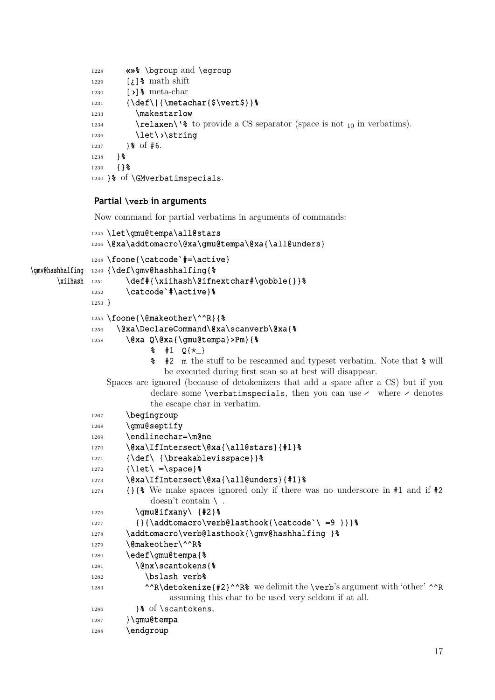```
1228 «»% \bgroup and \egroup
1229 [¿]% math shift
1230 [›]% meta-char
1231 {\def\|{\metachar{$\vert$}}%
1233 \makestarlow
1234 \relaxen\'% to provide a CS separator (space is not _{10} in verbatims).
1236 \let\>\string
1237 } \frac{8}{5} of #6.
1238 } \frac{8}{8}1239 \{ \} \1240 }% of \GMverbatimspecials.
```
# **Partial \verb in arguments**

Now command for partial verbatims in arguments of commands:

```
1245 \let\gmu@tempa\all@stars
             1246 \@xa\addtomacro\@xa\qmu@tempa\@xa{\all@unders}
             1248 \foone{\catcode`#=\active}
\gmv@hashhalfing 1249 {\def\gmv@hashhalfing{%
     \xiihash 1251 \def#{\xiihash\@ifnextchar#\gobble{}}%
             1252 \catcode`#\active}%
             1253 }
             1255 \foone{\@makeother\^^R}{%
             1256 \@xa\DeclareCommand\@xa\scanverb\@xa{%
             1258 \@xa Q\@xa{\gmu@tempa}>Pm}{%
                          \frac{1}{2} #1 Q{\star<sub>1</sub>}
                          % #2 m the stuff to be rescanned and typeset verbatim. Note that % will
                             be executed during first scan so at best will disappear.
                Spaces are ignored (because of detokenizers that add a space after a CS) but if you
                          declare some \verbatimspecials, then you can use \prime where \prime denotes
                          the escape char in verbatim.
             1267 \begingroup
             1268 \qmu@septify
             1269 \endlinechar=\m@ne
             1270 \@xa\IfIntersect\@xa{\all@stars}{#1}%
             1271 {\def\ {\breakablevisspace}} %
             1272 {\let\ =\space}%
             1273 \@xa\IfIntersect\@xa{\all@unders}{#1}%
             1274 {}{% We make spaces ignored only if there was no underscore in #1 and if #2
                          doesn't contain \setminus.
             1276 \gmu@ifxany\ {#2}%
             1277 {\{\dagger\}1278 \addtomacro\verb@lasthook{\gmv@hashhalfing }%
             1279 \@makeother\^^R%
             1280 \edef\gmu@tempa{%
             1281 \@nx\scantokens{%
             1282 \bslash verb<sup>8</sup>
             1283 ^{\wedge}R\detokenize{#2}^^R% we delimit the \verb's argument with 'other' ^{\wedge}R
                               assuming this char to be used very seldom if at all.
             1286 }& of \scantokens,
             1287 } \gmu@tempa
             1288 \endgroup
```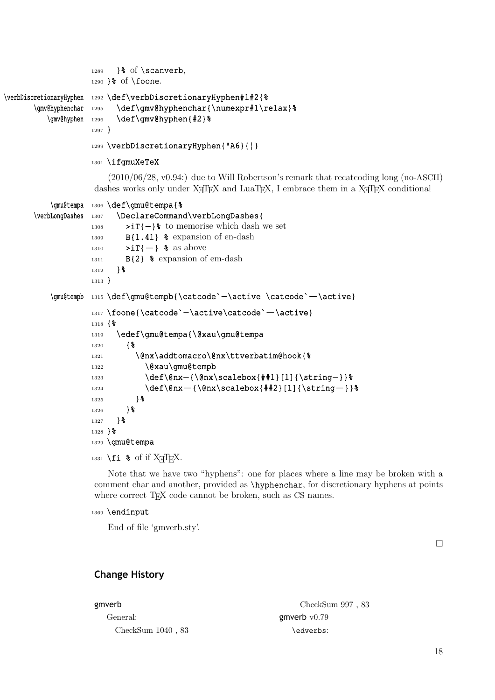```
1289 }% of \scanverb,
                    1290 }\text{\textdegree} of \foone.
\verbDiscretionaryHyphen 1292 \def\verbDiscretionaryHyphen#1#2{%
       \gmv@hyphenchar 1295 \def\gmv@hyphenchar{\numexpr#1\relax}%
          \gmv@hyphen 1296 \def\gmv@hyphen{#2}%
                    1297 }
                    1299 \verbDiscretionaryHyphen{"A6}{|}
                    1301 \ifgmuXeTeX
                        (2010/06/28, v0.94:) due to Will Robertson's remark that recatcoding long (no-ASCII)
                     dashes works only under X\existsTEX and LuaTEX, I embrace them in a X\existsTEX conditional
           \gmu@tempa 1306 \def\gmu@tempa{%
       \verbLongDashes 1307 \DeclareCommand\verbLongDashes{
                    1308 >iT{-}% to memorise which dash we set
                    _{1309} B{1.41} % expansion of en-dash
                    1310 \sum T(-) % as above
                    1311 B{2} % expansion of em-dash
                    1312 } \frac{6}{9}1313 }
           \gmu@tempb 1315 \def\gmu@tempb{\catcode`-\active \catcode`-\active}
                    1317 \foone{\catcode`-\active\catcode`-\active}
                    1318 {%
                    1319 \edef\gmu@tempa{\@xau\gmu@tempa
                    1320 {%
                    1321 \@nx\addtomacro\@nx\ttverbatim@hook{%
                    1322 \@xau\gmu@tempb
                    1323 \def\@nx-{\@nx\scalebox{##1}[1]{\string-}}%
                    1324 \def\@nx-{\@nx\scalebox{##2}[1]{\string-}}%
                    1325 } \frac{8}{6}1326 } \frac{8}{6}1327 } %1328 }%
                    1329 \gmu@tempa
```
1331 \fi % of if  $X \nexists F X$ .

Note that we have two "hyphens": one for places where a line may be broken with a comment char and another, provided as \hyphenchar, for discretionary hyphens at points where correct T<sub>E</sub>X code cannot be broken, such as CS names.

```
1369 \endinput
```
End of file 'gmverb.sty'.

□

# **Change History**

| gmverb              | CheckSum 997, 83 |
|---------------------|------------------|
| General:            | gmverb $v0.79$   |
| CheckSum $1040, 83$ | \edverbs:        |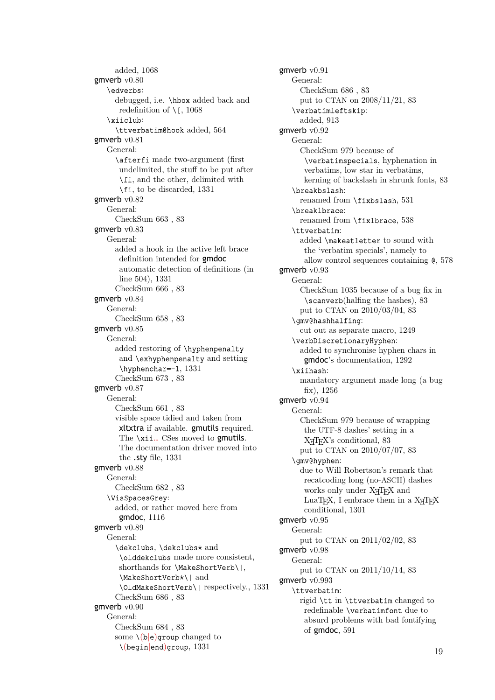added, 1068 gmverb v0.80 \edverbs: debugged, i.e. \hbox added back and redefi[nition](#page-13-0) of  $\setminus$  [, 1068 \xiiclub: \ttverbatim@hook added, 564 gmverb  $v0.81$ General: \afterfi made tw[o-argu](#page-13-0)ment (first undelimited, the stuff to [be pu](#page-5-0)t after \fi, and the other, delimited with \fi, to be discarded, 1331 gmverb v0.82 General: CheckSum 663 , 83 gmverb v0.83 General: added a hook in the active left brace definition inten[ded](#page-0-0) for gmdoc automatic detection of definitions (in line 504), 1331 CheckSum 666 , 83 gmverb v0.84 General: Chec[kSum](#page-4-0) [658 ,](#page-17-0) 83 gmverb v0.85 General: added restoring of \hyphenpenalty and \exhyphen[pen](#page-0-0)alty and setting \hyphenchar=-1, 1331 CheckSum 673 , 83 gmverb v0.87 General: CheckSum 661 , 83 visible space tidi[ed](#page-0-0) [and](#page-17-0) taken from xltxtra if available. gmutils required. The **\xii…** CSes moved to **gmutils**. The documenta[tio](#page-0-0)n driver moved into the .sty file, 1331 gmverb v0.88 General: CheckSum 682 , 83 \VisSpacesGrey[:](#page-17-0) added, or rather moved here from gmdoc, 1116 gmverb v0.89 General: \dekclubs, \dekclubs⋆ and \oldde[kclub](#page-14-0)s made more consistent, shorthands for \MakeShortVerb\|, \MakeShortVerb⋆\| and \OldMakeShortVerb\| respectively., 1331 CheckSum 686 , 83 gmverb v0.90 General: CheckSum 684 , 83 some \(b*|*e)group [c](#page-0-0)hanged to \(begin*|*end)group, 1331

gmverb v0.91 General: CheckSum 686 , 83 put to CTAN on 2008/11/21, 83 \verbatimleftskip: added, 913 gmverb v0.92 General: CheckSum 979 because of \verb[atim](#page-11-0)specials, hyphenation in verbatims, low star in verbatims, kerning of backslash in shrunk fonts, 83 \breakbslash: renamed from \fixbslash, 531 \breaklbrace: renamed from \fixlbrace, 538 \ttverbatim: added \makeatletter to so[und](#page-5-0) with the 'verbatim specials', namely to allow control sequences co[ntain](#page-5-0)ing @, 578 gmverb v0.93 General: CheckSum 1035 because of a bug fix in \scanverb(halfing the hashes), 83 put to CTAN on 2010/03/04, 83 \gmv@hashhalfing: cut out as separate macro, 1249 \verbDiscretionaryHyphen: added to synchronise hyphen [chars](#page-0-0) in gmdoc's documentation, 1292 \xiihash: mandatory argument made [long](#page-16-0) (a bug fix), 1256 gmverb v0.94 General: CheckSum 979 because of wrapping the [UTF](#page-16-0)-8 dashes' setting in a XƎTEX's conditional, 83 put to CTAN on 2010/07/07, 83 \gmv@hyphen: due to Will Robertson's remark that recatcoding long (no-[AS](#page-0-0)CII) dashes works only under XƎTEX an[d](#page-0-0) LuaT<sub>EX</sub>, I embrace them in a  $X\pi$ T<sub>EX</sub> conditional, 1301 gmverb v0.95 General: put to CTAN on 2011/02/02, 83 gmverb v0.98 General: put to CTAN on 2011/10/14, 83 gmverb v0.993 \ttverbatim: rigid \tt in \ttverbatim changed to redefinable \verbatimfont [due](#page-0-0) to absurd problems with bad fontifying of gmdoc, 591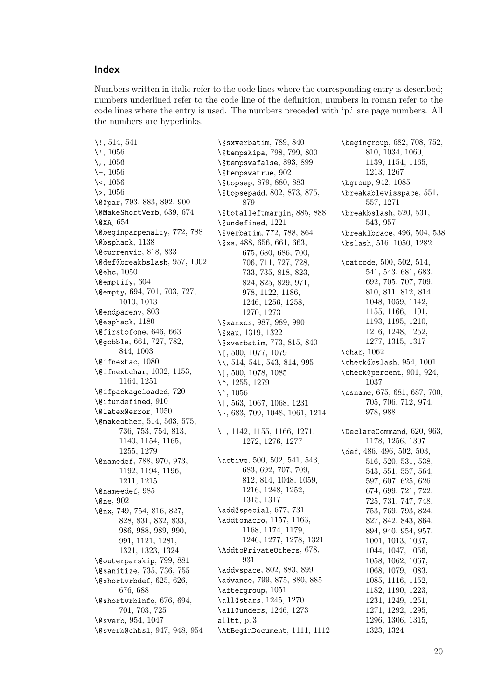# **Index**

Numbers written in italic refer to the code lines where the corresponding entry is described; numbers underlined refer to the code line of the definition; numbers in roman refer to the code lines where the entry is used. The numbers preceded with 'p.' are page numbers. All the numbers are hyperlinks.

\!, 514, 541 \', 1056  $\lambda$ , 1056 \-, 1056 \<, [1056](#page-4-0) \>, [1056](#page-13-0) \@@[par](#page-13-0), 793, 883, 892, 900 \@M[akeSh](#page-13-0)ortVerb, 639, 674 \@XA, [65](#page-13-0)4 \@b[eginp](#page-13-0)arpenalty, 772, 788 \@bspha[ck](#page-8-0), 1[138](#page-10-0) \@currenvir, 818, [833](#page-6-0) \@def[@bre](#page-6-0)akbslash, 95[7,](#page-7-0) 1002 \@ehc, 1050  $\text{Qemptify}, 604$  $\text{Qemptify}, 604$ \@empty, 694, [701,](#page-9-0) [703,](#page-9-0) 727, 1010, 1013 \@endp[aren](#page-13-0)v, 803 \@esphack, [118](#page-6-0)0 \@firsto[fone](#page-7-0), [646](#page-7-0), [66](#page-7-0)3 \@gob[ble](#page-12-0), 6[61,](#page-12-0) 727, 78[2,](#page-8-0) 844, 10[03](#page-9-0) \@ifnextac, [108](#page-15-0)0 \@ifnextchar, [1002](#page-6-0), [115](#page-6-0)3, 1164, [12](#page-6-0)[51](#page-8-0) \@ifp[acka](#page-9-0)[geloa](#page-12-0)ded, [720](#page-8-0) \@ifundefin[ed](#page-13-0), 910 \@latex@error, [105](#page-12-0)0 \@mak[eothe](#page-14-0)r, [514](#page-16-0), 563, [57](#page-14-0)5, 736, 753, 754, [813,](#page-7-0) 1140, 1154, [11](#page-11-0)65, 1255, 1279 \@namedef, 78[8,](#page-4-0) [97](#page-13-0)[0,](#page-5-0) 9[73,](#page-5-0) [119](#page-8-0)2, [11](#page-8-0)9[4,](#page-8-0) 11[96,](#page-9-0) [1211](#page-14-0), [1215](#page-14-0) \@nam[eedef](#page-16-0), [985](#page-16-0) \@ne, 902 \@nx, [749,](#page-15-0) [7](#page-8-0)[54,](#page-15-0) [816,](#page-11-0) [827](#page-15-0)[,](#page-11-0) [828,](#page-15-0) [831,](#page-15-0) 832, 833, 986, 9[88,](#page-12-0) 989, 990, [991](#page-10-0), 1121, 1281, [132](#page-8-0)1, [13](#page-8-0)[23,](#page-9-0) 1[324](#page-9-0) \@out[erparski](#page-9-0)p, [79](#page-9-0)9, [88](#page-9-0)1 \@san[itiz](#page-12-0)e, [73](#page-12-0)5, [73](#page-12-0)6, [75](#page-12-0)5 \@sho[rtvr](#page-12-0)[bdef](#page-14-0), [625,](#page-16-0) 626, [676,](#page-17-0) [688](#page-17-0) \@shortvrbinfo, [676](#page-9-0)[,](#page-17-0) [694](#page-10-0), 701, 7[03,](#page-8-0) 7[25](#page-8-0) \@sverb, 954, 10[47](#page-6-0) \@sve[rb@chbsl](#page-7-0), 947, [948](#page-6-0), 954

\@sxverbatim, 789, 840 \@tempskipa, 798, 799, 800 \@tempswafalse, 893, 899 \@tempswatrue, 902 \@topsep, 879, [880](#page-8-0), [883](#page-9-0) \@topsepadd, [802,](#page-9-0) [873,](#page-9-0) [875,](#page-9-0) 879 \@totalleftmar[gin](#page-10-0)[,](#page-10-0) 8[85,](#page-10-0) 888 \@undefin[ed](#page-10-0), [1221](#page-10-0) \@verbatim, 7[72,](#page-9-0) 7[88,](#page-10-0) 8[64](#page-10-0) \@xa, [488,](#page-10-0) 656, 661, 663, 675, 680, 686, [700,](#page-10-0) 706, 711, [727](#page-15-0), 728, 733, 7[35,](#page-8-0) 8[18,](#page-8-0) 8[23,](#page-10-0) [824](#page-4-0), [825](#page-6-0), [829](#page-6-0), [971](#page-6-0), [978,](#page-7-0) [1122](#page-7-0), [1186,](#page-7-0) [1246](#page-7-0), [125](#page-7-0)[6,](#page-8-0) 12[58,](#page-8-0) [1270](#page-8-0), [127](#page-8-0)[3](#page-9-0) \@xan[xcs](#page-9-0), [987,](#page-9-0) [989,](#page-9-0) [990](#page-11-0) \@xau, [131](#page-12-0)9, [132](#page-14-0)2 \@xve[rbati](#page-16-0)m, [773](#page-16-0), [815,](#page-16-0) 840 \[, 500, [107](#page-16-0)7, [107](#page-16-0)9 \\, 514, 5[41,](#page-12-0) 5[43,](#page-12-0) 81[4,](#page-12-0) 995 \], 500, [107](#page-17-0)8, [108](#page-17-0)5 \^, 1255, 1279 \`, [105](#page-4-0)6 \|, [563](#page-4-0), [106](#page-5-0)[7](#page-13-0), [10](#page-5-0)[6](#page-13-0)[8,](#page-9-0) 12[31](#page-12-0) \~, [683](#page-4-0), [709,](#page-13-0) [1048,](#page-13-0) 1061, 1214 \ , [1142](#page-13-0), [1155](#page-16-0), 1166, 1271, [1](#page-5-0)[272,](#page-13-0) 1[276,](#page-13-0) 1[277](#page-16-0) \ac[tive](#page-7-0), [50](#page-7-0)0, [502,](#page-13-0) [541,](#page-13-0) 5[43,](#page-15-0) [68](#page-14-0)3, [692](#page-14-0), [707,](#page-14-0) [709,](#page-16-0) [812,](#page-16-0) 8[14,](#page-16-0) 10[48,](#page-16-0) 1059, 1216, 1248, 1252, 13[15,](#page-4-0) 1[317](#page-4-0) \add@[special](#page-7-0), [677,](#page-7-0) [731](#page-7-0) \addt[omacro](#page-9-0), 1[157,](#page-13-0) 1[163,](#page-13-0) [1168,](#page-15-0) [1174,](#page-16-0) [1179,](#page-16-0) [1246,](#page-17-0) [1277,](#page-17-0) 1278, 1321 \AddtoPrivate[Othe](#page-7-0)[rs](#page-8-0), 678, 931 \addv[space](#page-14-0), [802,](#page-15-0) [883,](#page-15-0) [89](#page-14-0)9 \adva[nce](#page-16-0), 7[99,](#page-16-0) 875, [880](#page-16-0), [885](#page-17-0) \aftergroup, 1051 \all@[star](#page-11-0)s, 1245, 1270 \all@unders, [12](#page-9-0)4[6,](#page-10-0) 12[73](#page-10-0) alltt, p. 3 \AtBeginDocu[ment](#page-13-0)[,](#page-10-0) [1111](#page-10-0), [11](#page-10-0)12 \begingroup, 682, 708, 752, 810, 1034, 1060, 1139, 1154, 1165, 1213, 1267 \bgroup, 942, [108](#page-7-0)5 \brea[kabl](#page-9-0)[eviss](#page-12-0)[pace](#page-13-0)[,](#page-7-0) 5[51,](#page-8-0) [557,](#page-14-0) [1271](#page-14-0) \brea[kbsla](#page-15-0)sh, [52](#page-16-0)0, 531, 543, [95](#page-11-0)[7](#page-13-0) \breaklbrace, 496, 50[4,](#page-5-0) 538 \bsla[sh](#page-5-0), 5[16,](#page-16-0) 1050, 1282 \catc[ode](#page-5-0), [500,](#page-11-0) [502,](#page-4-0) [514,](#page-5-0) 541, 543, [681](#page-4-0), [683](#page-4-0), 692, [70](#page-4-0)5, [707](#page-13-0), [709,](#page-16-0) 810, 811, 812, 814, 1048, [1059,](#page-4-0) 1[142,](#page-4-0) [1155](#page-5-0), [116](#page-5-0)[6,](#page-7-0) 11[91,](#page-7-0) [1193](#page-7-0), [1195,](#page-7-0) 12[10,](#page-7-0) [1216](#page-9-0), [1248,](#page-9-0) 12[52,](#page-9-0) [1277,](#page-13-0) [1315,](#page-13-0) [1317](#page-14-0) \char, [1062](#page-14-0) \chec[k@bslash](#page-15-0)[,](#page-14-0) 9[54,](#page-15-0) 1001 \chec[k@per](#page-15-0)[cent](#page-16-0), [901,](#page-16-0) 924, [1037](#page-16-0) \csname, [67](#page-13-0)5, 681, 687, 700, 705, 706, [712,](#page-11-0) [974,](#page-12-0) 978, 988 \Decl[are](#page-12-0)[Com](#page-7-0)m[and](#page-7-0), [620](#page-7-0), [963](#page-7-0), [1178](#page-7-0), [1256,](#page-7-0) 13[07](#page-11-0) \def, [486,](#page-12-0) [496,](#page-12-0) 502, 503, 516, 520, 531, 538, 543, 551, 557, [56](#page-6-0)[4,](#page-11-0) [597,](#page-15-0) [607,](#page-16-0) 625, [62](#page-17-0)6, [674](#page-4-0), [699](#page-4-0), [721](#page-4-0), [722](#page-4-0), [725,](#page-4-0) [731,](#page-4-0) [747](#page-5-0), [748](#page-5-0), [753,](#page-5-0) [769,](#page-5-0) [793](#page-5-0), [824](#page-5-0), [827,](#page-5-0) [842,](#page-6-0) [843](#page-6-0), [864](#page-6-0), [894,](#page-7-0) [940,](#page-7-0) [954](#page-7-0), [957](#page-7-0), [1001](#page-7-0), [1013,](#page-8-0) 10[37,](#page-8-0) [1044](#page-8-0), [1047,](#page-8-0) 10[56,](#page-9-0) [1058](#page-9-0), [1062,](#page-9-0) 10[67,](#page-10-0) [1068](#page-10-0), [1079,](#page-11-0) 10[83,](#page-11-0) [1085,](#page-12-0) [1116,](#page-12-0) [1152,](#page-12-0) [1182,](#page-13-0) [1190,](#page-13-0) [1223,](#page-13-0) [1231,](#page-13-0) [1249,](#page-13-0) [1251,](#page-13-0) [1271,](#page-13-0) [1292,](#page-13-0) [1295,](#page-13-0) [1296,](#page-13-0) [1306,](#page-14-0) [1315,](#page-14-0) [1323,](#page-15-0) [1324](#page-15-0)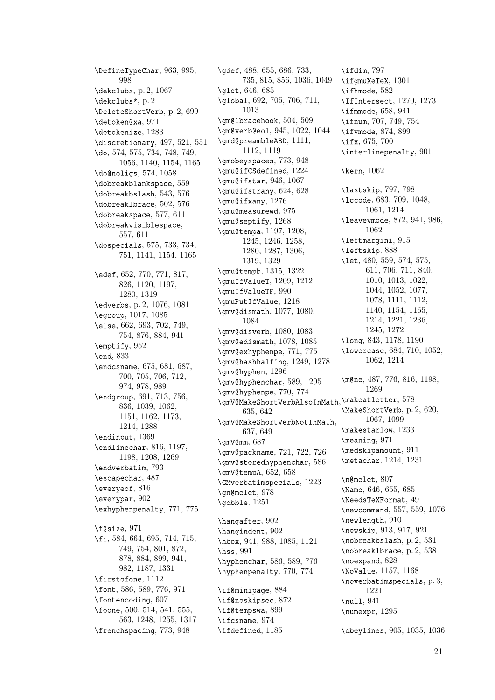\DefineTypeChar, 963, 995, 998 \dekclubs, p. 2, 1067 \dekclubs\*, p. 2 \DeleteShortVerb, [p.](#page-11-0) 2, [69](#page-12-0)9 \deto[ken@](#page-12-0)xa, 971 \detokenize, [1](#page-1-0)2[83](#page-13-0) \discretion[ary](#page-1-0), 497, 521, 551 \do, 574, 575, 734, 7[48,](#page-1-0) 7[49,](#page-7-0) 1056, 1[140,](#page-11-0) 1154, 1165 \do@noligs, 5[74,](#page-16-0) 1058 \dobreakblanksp[ace](#page-4-0), [559](#page-4-0) \dob[reakbsla](#page-5-0)[sh](#page-8-0), 5[43,](#page-8-0) [576](#page-8-0) \dobr[eaklb](#page-13-0)[race](#page-14-0), [502,](#page-14-0) 5[76](#page-14-0) \dobreakspa[ce](#page-5-0), 5[77,](#page-13-0) 611 \dobreakvisible[spa](#page-5-0)c[e](#page-5-0)[,](#page-5-0) 557, 611 \dospecials, 575, [73](#page-4-0)3, [73](#page-5-0)4, 751, 1141, [115](#page-5-0)4, [11](#page-6-0)65 \edef, [652](#page-5-0), [770](#page-6-0), 771, 817, 826, 11[20,](#page-5-0) 1[197,](#page-8-0) [128](#page-8-0)0, [131](#page-14-0)9 \edverbs, p. 2, 1[076,](#page-14-0) 1[081](#page-14-0) \egrou[p](#page-6-0), 10[17,](#page-8-0) 1[085](#page-8-0) \else, [662](#page-9-0), [693,](#page-14-0) [702,](#page-15-0) 749, [754,](#page-16-0) [876,](#page-17-0) [884,](#page-13-0) [941](#page-13-0) \emptify, [952](#page-1-0) \end, 833 \endcs[nam](#page-6-0)e, [67](#page-7-0)5, [68](#page-7-0)1, [687](#page-8-0), [700](#page-8-0), [705](#page-10-0), [706](#page-10-0), [712](#page-11-0), 974, [978](#page-11-0), 989 \endg[roup](#page-9-0), 691, 713, 756, 836, 1[039,](#page-7-0) [1062](#page-7-0), [115](#page-7-0)1, [11](#page-7-0)6[2,](#page-7-0) 11[73,](#page-7-0) [121](#page-11-0)4, [12](#page-12-0)8[8](#page-12-0) \endinput, [136](#page-7-0)9 \endl[inec](#page-9-0)[har](#page-12-0), 8[16,](#page-13-0) 1197, [1198](#page-14-0), [1208](#page-14-0), [1269](#page-15-0) \endv[erbat](#page-15-0)im, [79](#page-16-0)3 \escapechar, [48](#page-17-0)7 \everyeof, 816 \ever[ypar](#page-15-0), [902](#page-15-0) \exhyphenpena[lty](#page-8-0), 771, 775 \f@size, 97[1](#page-9-0) \fi, 584, 66[4,](#page-10-0) 695, 714, 715, 749, 754, 801, [872,](#page-8-0) 878, 884, 899, 941, 982, [11](#page-11-0)87, 1331 \fir[stof](#page-5-0)[one](#page-6-0), [1112](#page-7-0) \font, [586](#page-8-0), [589](#page-8-0), [776](#page-9-0)[,](#page-7-0) [971](#page-10-0) \font[encoding](#page-10-0), [607](#page-10-0) \foone, [50](#page-12-0)0, [514](#page-15-0), [541,](#page-17-0) 555, 563, 12[48,](#page-14-0) 1255, 1317 \frenc[hsp](#page-5-0)a[cing](#page-5-0), [77](#page-8-0)3, [948](#page-11-0)

\gdef, 488, 655, 686, 733, 735, 815, 856, 1036, 1049 \glet, 646, 685 \global, 692, 705, 706, 711, [1013](#page-4-0) \gm@l[brac](#page-8-0)[ehoo](#page-9-0)[k](#page-6-0), [50](#page-10-0)[4](#page-7-0), [509](#page-12-0) \gm@ve[rb@e](#page-6-0)[ol](#page-7-0), 945, 1022, [1044](#page-13-0) \gmd@pre[ambleABD](#page-7-0), [11](#page-7-0)1[1,](#page-7-0) [1112,](#page-12-0) 1119 \gmobeyspaces, 7[73,](#page-4-0) 9[48](#page-4-0) \gmu@ifCSdefi[ned](#page-11-0), [1224](#page-12-0) \gmu@ifstar, 946, [1067](#page-14-0) \gmu@[ifstrany](#page-14-0), 624, 628 \gmu@ifxany, 1[276](#page-8-0) \gmu@measurewd, 97[5](#page-15-0) \gmu@septify, [12](#page-11-0)6[8](#page-13-0) \gmu@tempa, 119[7,](#page-6-0) 12[08,](#page-6-0) 1245, 1[246,](#page-16-0) 1258, 1280, 1287, [130](#page-12-0)6, 1319, 13[29](#page-16-0) \gmu@tempb, [1315,](#page-15-0) [1322](#page-15-0) \gmuI[fValu](#page-16-0)eT, [1209,](#page-16-0) 1212 \gmuI[fValueTF](#page-16-0), 9[90](#page-17-0) \gmuP[utIfValue](#page-17-0), 1218 \gmv@dismath, [10](#page-17-0)77, [10](#page-17-0)80, 1084 \gmv@disverb, [1080](#page-12-0), [1083](#page-15-0) \gmv@edismath, 1[078,](#page-15-0) 1085 \gmv@exhyphen[pe](#page-13-0), 771, [77](#page-13-0)5 \gmv@[hashh](#page-13-0)alfing, 1249, 1278 \gmv@hyphen, [1296](#page-13-0) \gmv@hyphenchar, [58](#page-13-0)9, [129](#page-13-0)5 \gmv@hyphenpe, 77[0,](#page-8-0) 77[4](#page-8-0) \gmV@MakeShortVer[bAlsoInMat](#page-16-0)h, \make[atlet](#page-13-0)[ter](#page-15-0), 5[78](#page-7-0) 635, 64[2](#page-17-0) \gmV@MakeShortVe[rbNo](#page-5-0)[tInMa](#page-17-0)th, 637, 649 \gmV@mm, 687 \gmv@[packname](#page-6-0), 721, 722, 726 \gmv@storedhyphenchar, 586 \gmV@[temp](#page-6-0)A, [65](#page-6-0)2, 658 \GMverba[tims](#page-7-0)pecials, 1223 \gn@melet, 978 \gobble, 1251 \hangafter, [902](#page-6-0) \hangindent, [9](#page-12-0)02 \hbox, 941, [98](#page-16-0)8, 1085, 1121 \hss, 991 \hyphenchar, [58](#page-10-0)6, 589, 776 \hyphenpenal[ty](#page-10-0), 770, 774

\if@m[ini](#page-12-0)[pa](#page-11-0)[ge](#page-12-0), 8[84](#page-13-0) \if@noskipsec, [8](#page-5-0)7[2](#page-5-0) \if@tempswa, 899 \ifcsname, 974 \ifdefined, 11[85](#page-10-0)

\ifdim, 797 \ifgmuXeTeX, 1301 \ifhmode, 582 \IfIntersect, 1270, 1273 \ifmmode, [6](#page-9-0)58, 941 \ifnum, 707, [749,](#page-17-0) 754 \ifvmode, [874,](#page-5-0) [899](#page-16-0) \ifx, 675, 700 \interlin[epen](#page-6-0)[alty](#page-11-0), 901 \kern, [106](#page-7-0)[2](#page-10-0) \last[skip](#page-7-0), [797](#page-7-0), 798 \lccode, 683, 709, 10[48,](#page-10-0) [1061,](#page-13-0) 1214 \leavevmode, 872, 941, 986, 1062 \leftmar[gini](#page-7-0)[,](#page-9-0) [915](#page-7-0) \left[skip](#page-13-0), [888](#page-15-0) \let, 480, 559, [57](#page-10-0)4, [57](#page-11-0)[5,](#page-12-0) [611,](#page-13-0) 706, 711, 840, 1010, 10[13,](#page-11-0) 1022, 1044, [105](#page-10-0)2, 1077, [107](#page-4-0)8, [1111,](#page-5-0) 1[112,](#page-5-0) [1140](#page-6-0), [1154,](#page-7-0) 11[65,](#page-9-0) [1214,](#page-12-0) [1221,](#page-12-0) [1236,](#page-12-0) [1245,](#page-13-0) [1272](#page-13-0) \long, [843,](#page-13-0) [1178,](#page-14-0) [1190](#page-14-0) \lowe[rcase](#page-14-0), [684,](#page-14-0) [710,](#page-14-0) 1052, [1062,](#page-15-0) [1214](#page-15-0) \m@ne, [487](#page-9-0)[,](#page-16-0) [776,](#page-15-0) [816,](#page-15-0) 1198, 1269 \MakeShortVerb, p. 2, 620, [1067](#page-4-0), [109](#page-8-0)[9](#page-9-0) \make[starl](#page-16-0)ow, 1233 \meaning, 971 \medskipamount, [911](#page-1-0) \meta[char](#page-13-0), [1214,](#page-13-0) 1231 \n@melet, [807](#page-11-0) \Name, 646, 655, [685](#page-11-0) \NeedsTeXF[ormat](#page-15-0), [49](#page-16-0) \newcommand, 557, 559, 1076 \newlength, [9](#page-9-0)10 \newsk[ip](#page-6-0), 9[13,](#page-6-0) 9[17,](#page-7-0) 921 \nobreakbslash, [p. 2,](#page-0-0) 531 \nobreaklbra[ce](#page-5-0), [p. 2,](#page-5-0) [538](#page-13-0) \noexpand, [828](#page-11-0) \NoValue, [1157](#page-11-0), [1168](#page-11-0) \noverbatimspec[ials](#page-1-0), [p. 3](#page-5-0), 1221 \null, 941 \numexpr, [1295](#page-14-0)

\obey[lines](#page-15-0), 905, 1035, [103](#page-2-0)6